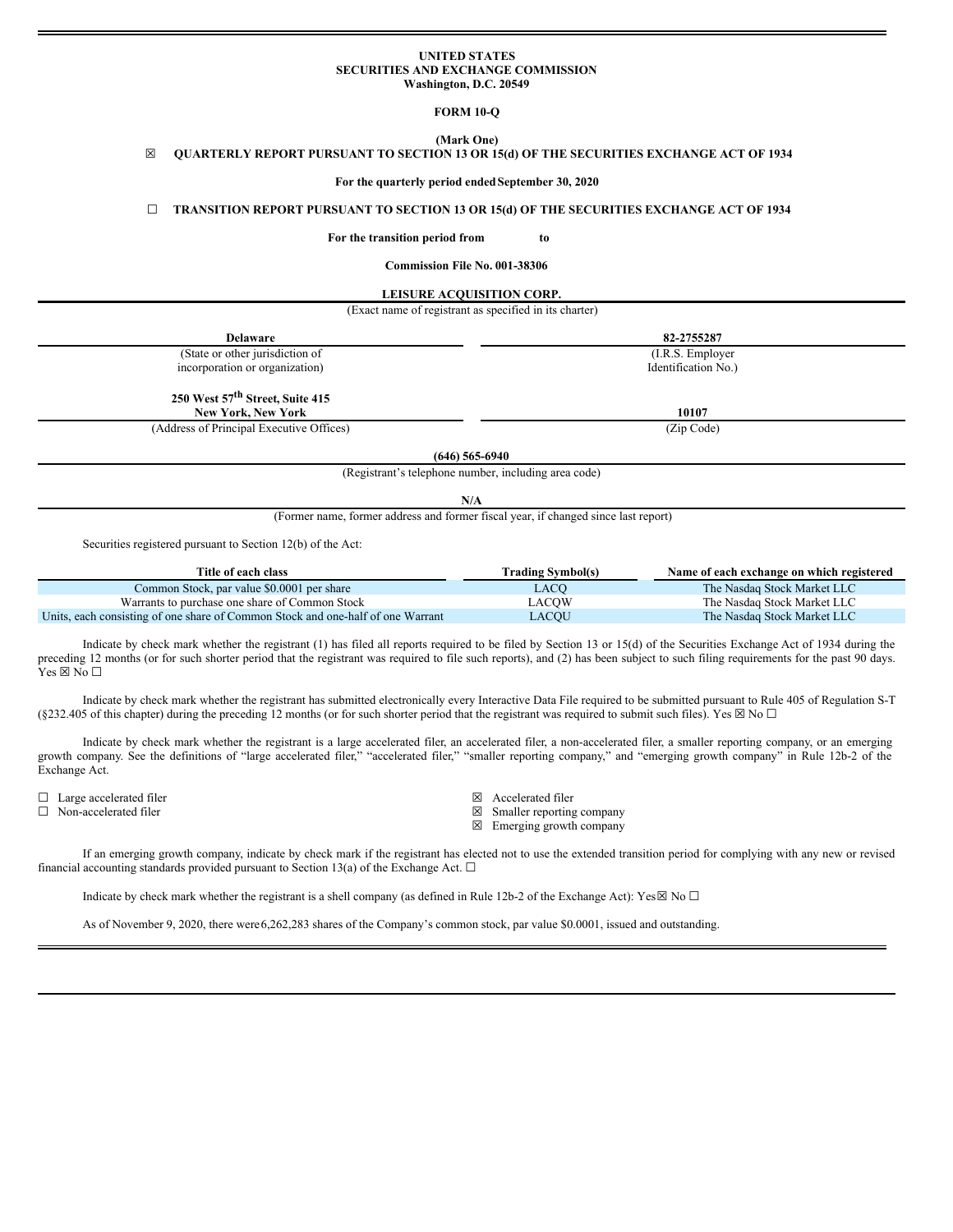#### **UNITED STATES SECURITIES AND EXCHANGE COMMISSION Washington, D.C. 20549**

**FORM 10-Q**

**(Mark One)**

<span id="page-0-0"></span>☒ **QUARTERLY REPORT PURSUANT TO SECTION 13 OR 15(d) OF THE SECURITIES EXCHANGE ACT OF 1934**

**For the quarterly period endedSeptember 30, 2020**

☐ **TRANSITION REPORT PURSUANT TO SECTION 13 OR 15(d) OF THE SECURITIES EXCHANGE ACT OF 1934**

**For the transition period from to**

**Commission File No. 001-38306**

#### **LEISURE ACQUISITION CORP.**

| (Exact name of registrant as specified in its charter) |
|--------------------------------------------------------|
| 82-2755287                                             |
| (I.R.S. Employer)                                      |
| Identification No.)                                    |
|                                                        |
| 10107                                                  |
| (Zip Code)                                             |
| $(646)$ 565-6940                                       |
| (Registrant's telephone number, including area code)   |
|                                                        |

**N/A**

(Former name, former address and former fiscal year, if changed since last report)

Securities registered pursuant to Section 12(b) of the Act:

| Title of each class                                                             | <b>Trading Symbol(s)</b> | Name of each exchange on which registered |
|---------------------------------------------------------------------------------|--------------------------|-------------------------------------------|
| Common Stock, par value \$0.0001 per share                                      | LACO                     | The Nasdaq Stock Market LLC               |
| Warrants to purchase one share of Common Stock                                  | LACOW                    | The Nasdag Stock Market LLC               |
| Units, each consisting of one share of Common Stock and one-half of one Warrant | LACOU                    | The Nasdaq Stock Market LLC               |

Indicate by check mark whether the registrant (1) has filed all reports required to be filed by Section 13 or 15(d) of the Securities Exchange Act of 1934 during the preceding 12 months (or for such shorter period that the registrant was required to file such reports), and (2) has been subject to such filing requirements for the past 90 days. Yes ⊠ No □

Indicate by check mark whether the registrant has submitted electronically every Interactive Data File required to be submitted pursuant to Rule 405 of Regulation S-T (§232.405 of this chapter) during the preceding 12 months (or for such shorter period that the registrant was required to submit such files). Yes  $\boxtimes$  No  $\Box$ 

Indicate by check mark whether the registrant is a large accelerated filer, an accelerated filer, a non-accelerated filer, a smaller reporting company, or an emerging growth company. See the definitions of "large accelerated filer," "accelerated filer," "smaller reporting company," and "emerging growth company" in Rule 12b-2 of the Exchange Act.

☐ Large accelerated filer ☒ Accelerated filer

☐ Non-accelerated filer ☒ Smaller reporting company

☒ Emerging growth company

If an emerging growth company, indicate by check mark if the registrant has elected not to use the extended transition period for complying with any new or revised financial accounting standards provided pursuant to Section 13(a) of the Exchange Act.  $\Box$ 

Indicate by check mark whether the registrant is a shell company (as defined in Rule 12b-2 of the Exchange Act): Yes $\boxtimes$  No  $\Box$ 

As of November 9, 2020, there were6,262,283 shares of the Company's common stock, par value \$0.0001, issued and outstanding.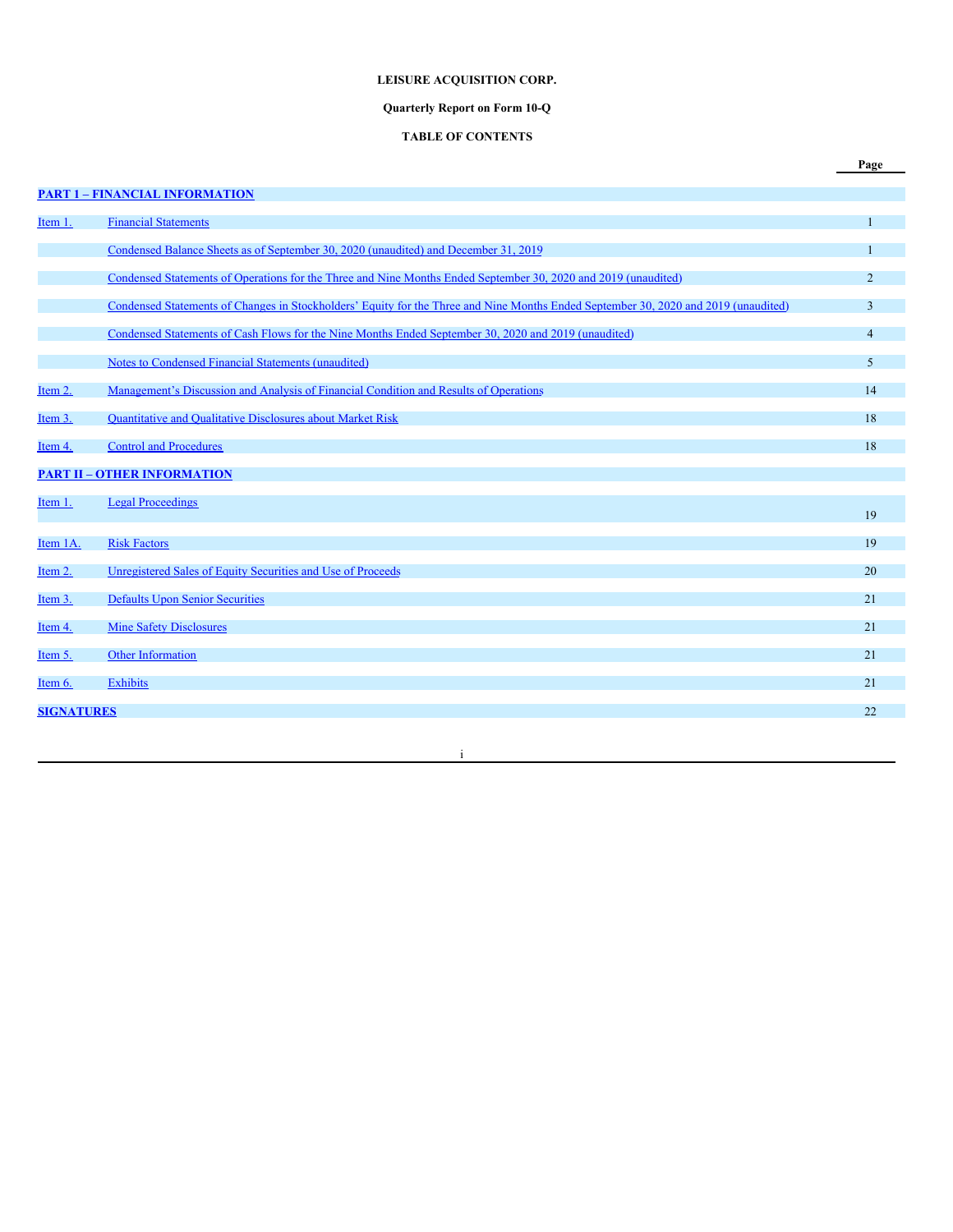# **LEISURE ACQUISITION CORP.**

# **Quarterly Report on Form 10-Q**

# **TABLE OF CONTENTS**

|                   |                                                                                                                                     | Page           |
|-------------------|-------------------------------------------------------------------------------------------------------------------------------------|----------------|
|                   | <b>PART 1 - FINANCIAL INFORMATION</b>                                                                                               |                |
| Item 1.           | <b>Financial Statements</b>                                                                                                         |                |
|                   | Condensed Balance Sheets as of September 30, 2020 (unaudited) and December 31, 2019                                                 |                |
|                   | Condensed Statements of Operations for the Three and Nine Months Ended September 30, 2020 and 2019 (unaudited)                      | 2              |
|                   | Condensed Statements of Changes in Stockholders' Equity for the Three and Nine Months Ended September 30, 2020 and 2019 (unaudited) | 3              |
|                   | Condensed Statements of Cash Flows for the Nine Months Ended September 30, 2020 and 2019 (unaudited)                                | $\overline{4}$ |
|                   | Notes to Condensed Financial Statements (unaudited)                                                                                 | $\overline{5}$ |
| Item 2.           | Management's Discussion and Analysis of Financial Condition and Results of Operations                                               | 14             |
| Item 3.           | Quantitative and Qualitative Disclosures about Market Risk                                                                          | 18             |
| Item 4.           | <b>Control and Procedures</b>                                                                                                       | 18             |
|                   | <b>PART II - OTHER INFORMATION</b>                                                                                                  |                |
| Item 1.           | <b>Legal Proceedings</b>                                                                                                            | 19             |
| Item 1A.          | <b>Risk Factors</b>                                                                                                                 | 19             |
|                   | Unregistered Sales of Equity Securities and Use of Proceeds                                                                         | 20             |
| Item 2.           |                                                                                                                                     |                |
| Item 3.           | <b>Defaults Upon Senior Securities</b>                                                                                              | 21             |
| Item 4.           | <b>Mine Safety Disclosures</b>                                                                                                      | 21             |
| Item 5.           | Other Information                                                                                                                   | 21             |
| Item 6.           | <b>Exhibits</b>                                                                                                                     | 21             |
| <b>SIGNATURES</b> |                                                                                                                                     | 22             |
|                   |                                                                                                                                     |                |

i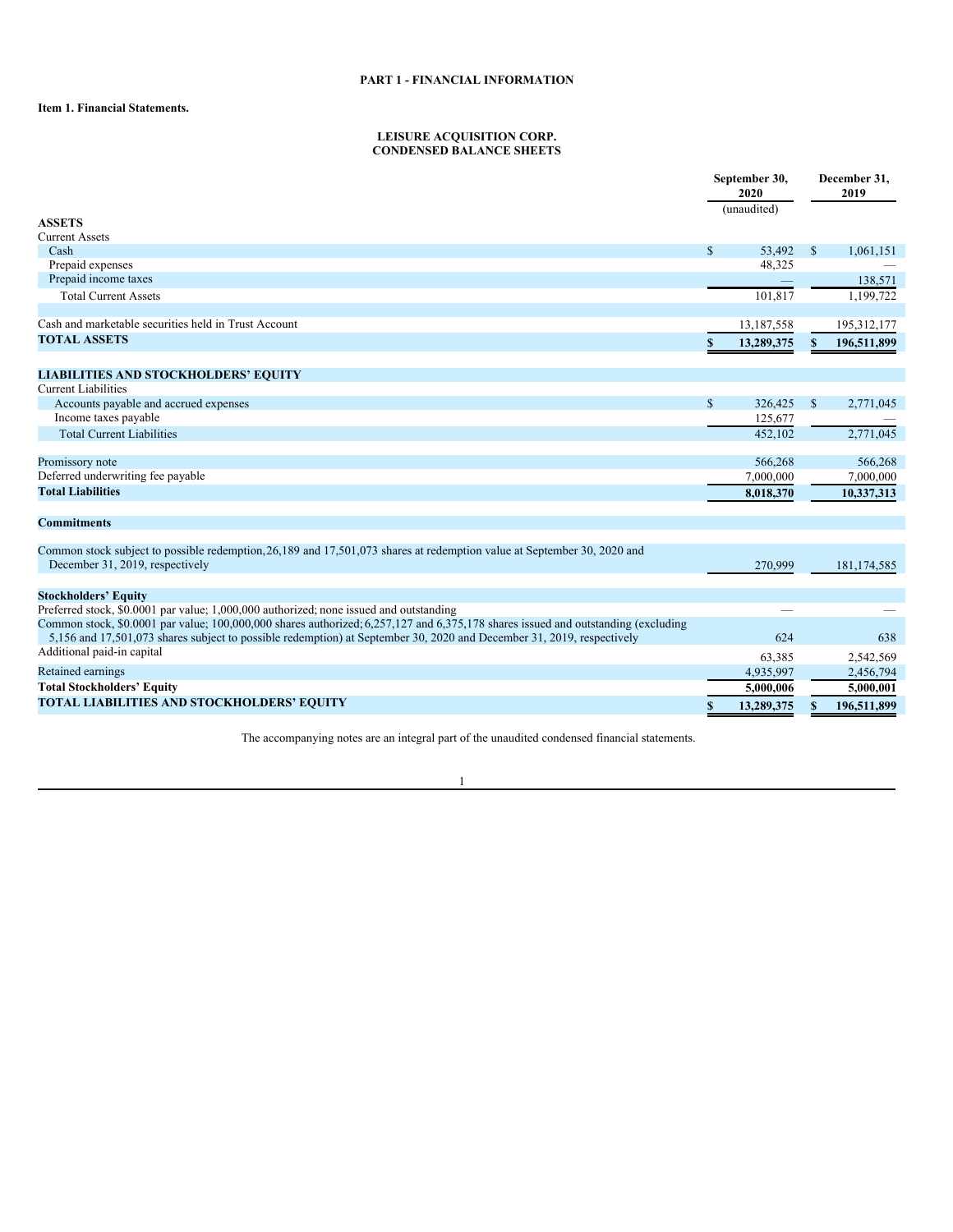### **Item 1. Financial Statements.**

#### **LEISURE ACQUISITION CORP. CONDENSED BALANCE SHEETS**

|                                                                                                                                                                                                                                                            |   | September 30,<br>2020<br>(unaudited) |               | December 31,<br>2019 |
|------------------------------------------------------------------------------------------------------------------------------------------------------------------------------------------------------------------------------------------------------------|---|--------------------------------------|---------------|----------------------|
| <b>ASSETS</b>                                                                                                                                                                                                                                              |   |                                      |               |                      |
| <b>Current Assets</b>                                                                                                                                                                                                                                      |   |                                      |               |                      |
| Cash                                                                                                                                                                                                                                                       | S | 53,492                               | <sup>\$</sup> | 1.061.151            |
| Prepaid expenses                                                                                                                                                                                                                                           |   | 48,325                               |               |                      |
| Prepaid income taxes                                                                                                                                                                                                                                       |   |                                      |               | 138,571              |
| <b>Total Current Assets</b>                                                                                                                                                                                                                                |   | 101,817                              |               | 1,199,722            |
| Cash and marketable securities held in Trust Account                                                                                                                                                                                                       |   | 13,187,558                           |               | 195, 312, 177        |
| <b>TOTAL ASSETS</b>                                                                                                                                                                                                                                        | S | 13,289,375                           | S             | 196,511,899          |
|                                                                                                                                                                                                                                                            |   |                                      |               |                      |
| <b>LIABILITIES AND STOCKHOLDERS' EQUITY</b><br>Current Liabilities                                                                                                                                                                                         |   |                                      |               |                      |
|                                                                                                                                                                                                                                                            | S | 326,425                              | <sup>S</sup>  | 2,771,045            |
| Accounts payable and accrued expenses<br>Income taxes payable                                                                                                                                                                                              |   |                                      |               |                      |
|                                                                                                                                                                                                                                                            |   | 125,677                              |               |                      |
| <b>Total Current Liabilities</b>                                                                                                                                                                                                                           |   | 452,102                              |               | 2,771,045            |
| Promissory note                                                                                                                                                                                                                                            |   | 566,268                              |               | 566,268              |
| Deferred underwriting fee payable                                                                                                                                                                                                                          |   | 7,000,000                            |               | 7,000,000            |
| <b>Total Liabilities</b>                                                                                                                                                                                                                                   |   | 8,018,370                            |               | 10,337,313           |
| <b>Commitments</b>                                                                                                                                                                                                                                         |   |                                      |               |                      |
| Common stock subject to possible redemption, 26,189 and 17,501,073 shares at redemption value at September 30, 2020 and<br>December 31, 2019, respectively                                                                                                 |   | 270,999                              |               | 181,174,585          |
| <b>Stockholders' Equity</b><br>Preferred stock, \$0,0001 par value; 1,000,000 authorized; none issued and outstanding                                                                                                                                      |   |                                      |               |                      |
| Common stock, \$0.0001 par value; 100,000,000 shares authorized; 6,257,127 and 6,375,178 shares issued and outstanding (excluding<br>5,156 and 17,501,073 shares subject to possible redemption) at September 30, 2020 and December 31, 2019, respectively |   | 624                                  |               | 638                  |
| Additional paid-in capital                                                                                                                                                                                                                                 |   | 63,385                               |               | 2,542,569            |
| Retained earnings                                                                                                                                                                                                                                          |   | 4,935,997                            |               | 2,456,794            |
| <b>Total Stockholders' Equity</b>                                                                                                                                                                                                                          |   | 5,000,006                            |               | 5,000,001            |
| <b>TOTAL LIABILITIES AND STOCKHOLDERS' EQUITY</b>                                                                                                                                                                                                          | S | 13,289,375                           | \$            | 196,511,899          |

The accompanying notes are an integral part of the unaudited condensed financial statements.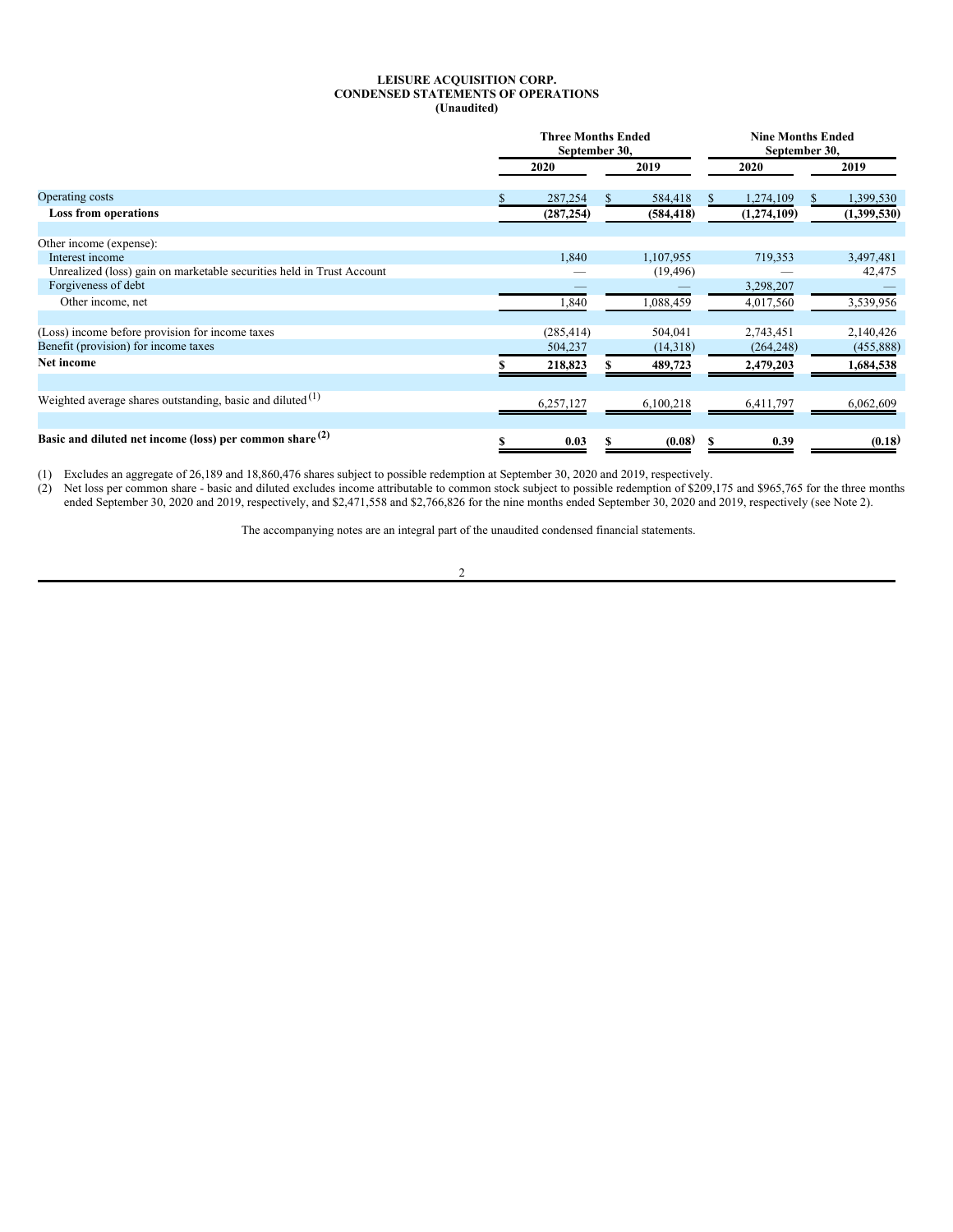### **LEISURE ACQUISITION CORP. CONDENSED STATEMENTS OF OPERATIONS (Unaudited)**

|                                                                       | <b>Three Months Ended</b><br>September 30, |              |            |    |             | <b>Nine Months Ended</b><br>September 30, |  |
|-----------------------------------------------------------------------|--------------------------------------------|--------------|------------|----|-------------|-------------------------------------------|--|
|                                                                       | 2020<br>2019                               |              | 2020       |    | 2019        |                                           |  |
| Operating costs                                                       | 287,254                                    | $\mathbf{s}$ | 584,418    | S. | 1,274,109   | 1,399,530                                 |  |
| <b>Loss from operations</b>                                           | (287, 254)                                 |              | (584, 418) |    | (1,274,109) | (1,399,530)                               |  |
| Other income (expense):                                               |                                            |              |            |    |             |                                           |  |
| Interest income                                                       | 1,840                                      |              | 1,107,955  |    | 719,353     | 3,497,481                                 |  |
| Unrealized (loss) gain on marketable securities held in Trust Account |                                            |              | (19, 496)  |    |             | 42,475                                    |  |
| Forgiveness of debt                                                   |                                            |              |            |    | 3,298,207   |                                           |  |
| Other income, net                                                     | 1,840                                      |              | 1,088,459  |    | 4,017,560   | 3,539,956                                 |  |
|                                                                       |                                            |              |            |    |             |                                           |  |
| (Loss) income before provision for income taxes                       | (285, 414)                                 |              | 504,041    |    | 2,743,451   | 2,140,426                                 |  |
| Benefit (provision) for income taxes                                  | 504,237                                    |              | (14,318)   |    | (264, 248)  | (455, 888)                                |  |
| Net income                                                            | 218,823                                    |              | 489,723    |    | 2,479,203   | 1,684,538                                 |  |
|                                                                       |                                            |              |            |    |             |                                           |  |
| Weighted average shares outstanding, basic and diluted $(1)$          | 6,257,127                                  |              | 6,100,218  |    | 6,411,797   | 6,062,609                                 |  |
|                                                                       |                                            |              |            |    |             |                                           |  |
| Basic and diluted net income (loss) per common share $(2)$            | 0.03                                       |              | (0.08)     |    | 0.39        | (0.18)                                    |  |

(1) Excludes an aggregate of 26,189 and 18,860,476 shares subject to possible redemption at September 30, 2020 and 2019, respectively.

(2) Net loss per common share - basic and diluted excludes income attributable to common stock subject to possible redemption of \$209,175 and \$965,765 for the three months ended September 30, 2020 and 2019, respectively, and \$2,471,558 and \$2,766,826 for the nine months ended September 30, 2020 and 2019, respectively (see Note 2).

The accompanying notes are an integral part of the unaudited condensed financial statements.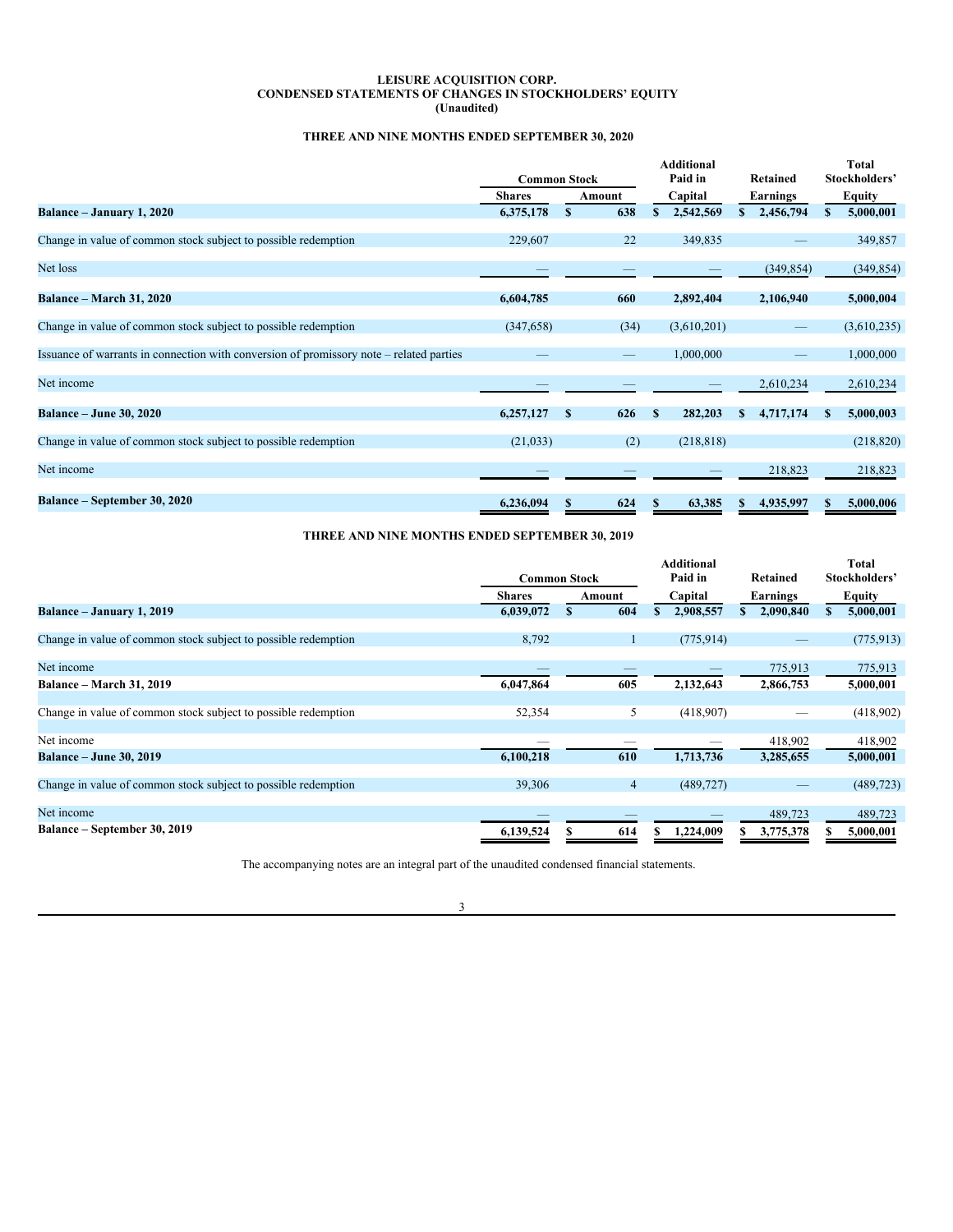### **LEISURE ACQUISITION CORP. CONDENSED STATEMENTS OF CHANGES IN STOCKHOLDERS' EQUITY (Unaudited)**

# **THREE AND NINE MONTHS ENDED SEPTEMBER 30, 2020**

|                                                                                         | <b>Common Stock</b> |   |        |              | <b>Additional</b><br>Paid in |          | Retained   |   | <b>Total</b><br>Stockholders' |
|-----------------------------------------------------------------------------------------|---------------------|---|--------|--------------|------------------------------|----------|------------|---|-------------------------------|
|                                                                                         | <b>Shares</b>       |   | Amount | Capital      |                              | Earnings |            |   | <b>Equity</b>                 |
| Balance - January 1, 2020                                                               | 6,375,178           | S | 638    | S.           | 2,542,569                    |          | 2,456,794  | S | 5,000,001                     |
| Change in value of common stock subject to possible redemption                          | 229,607             |   | 22     |              | 349,835                      |          |            |   | 349,857                       |
| Net loss                                                                                |                     |   |        |              |                              |          | (349, 854) |   | (349, 854)                    |
| <b>Balance – March 31, 2020</b>                                                         | 6,604,785           |   | 660    |              | 2,892,404                    |          | 2,106,940  |   | 5,000,004                     |
| Change in value of common stock subject to possible redemption                          | (347, 658)          |   | (34)   |              | (3,610,201)                  |          |            |   | (3,610,235)                   |
| Issuance of warrants in connection with conversion of promissory note – related parties |                     |   |        |              | 1,000,000                    |          |            |   | 1,000,000                     |
| Net income                                                                              |                     |   |        |              |                              |          | 2,610,234  |   | 2,610,234                     |
| <b>Balance - June 30, 2020</b>                                                          | 6,257,127           | S | 626    | $\mathbf{s}$ | 282,203                      | <b>S</b> | 4,717,174  |   | 5,000,003                     |
| Change in value of common stock subject to possible redemption                          | (21,033)            |   | (2)    |              | (218, 818)                   |          |            |   | (218, 820)                    |
| Net income                                                                              |                     |   |        |              |                              |          | 218,823    |   | 218,823                       |
| Balance – September 30, 2020                                                            | 6,236,094           |   | 624    |              | 63,385                       |          | 4,935,997  |   | 5,000,006                     |

# **THREE AND NINE MONTHS ENDED SEPTEMBER 30, 2019**

|                                                                |               | <b>Common Stock</b> | Additional<br>Paid in | Retained  | Total<br>Stockholders' |
|----------------------------------------------------------------|---------------|---------------------|-----------------------|-----------|------------------------|
|                                                                | <b>Shares</b> | Amount              | Capital               | Earnings  | Equity                 |
| Balance - January 1, 2019                                      | 6,039,072     | 604                 | 2,908,557             | 2,090,840 | 5,000,001              |
| Change in value of common stock subject to possible redemption | 8,792         |                     | (775, 914)            |           | (775, 913)             |
| Net income                                                     |               |                     |                       | 775,913   | 775,913                |
| <b>Balance - March 31, 2019</b>                                | 6,047,864     | 605                 | 2,132,643             | 2,866,753 | 5,000,001              |
| Change in value of common stock subject to possible redemption | 52,354        | 5                   | (418,907)             |           | (418,902)              |
| Net income                                                     |               |                     |                       | 418,902   | 418,902                |
| <b>Balance – June 30, 2019</b>                                 | 6,100,218     | 610                 | 1,713,736             | 3,285,655 | 5,000,001              |
| Change in value of common stock subject to possible redemption | 39,306        | $\overline{4}$      | (489, 727)            |           | (489, 723)             |
| Net income                                                     |               |                     |                       | 489,723   | 489,723                |
| Balance – September 30, 2019                                   | 6,139,524     | 614                 | 1,224,009             | 3,775,378 | 5,000,001              |

The accompanying notes are an integral part of the unaudited condensed financial statements.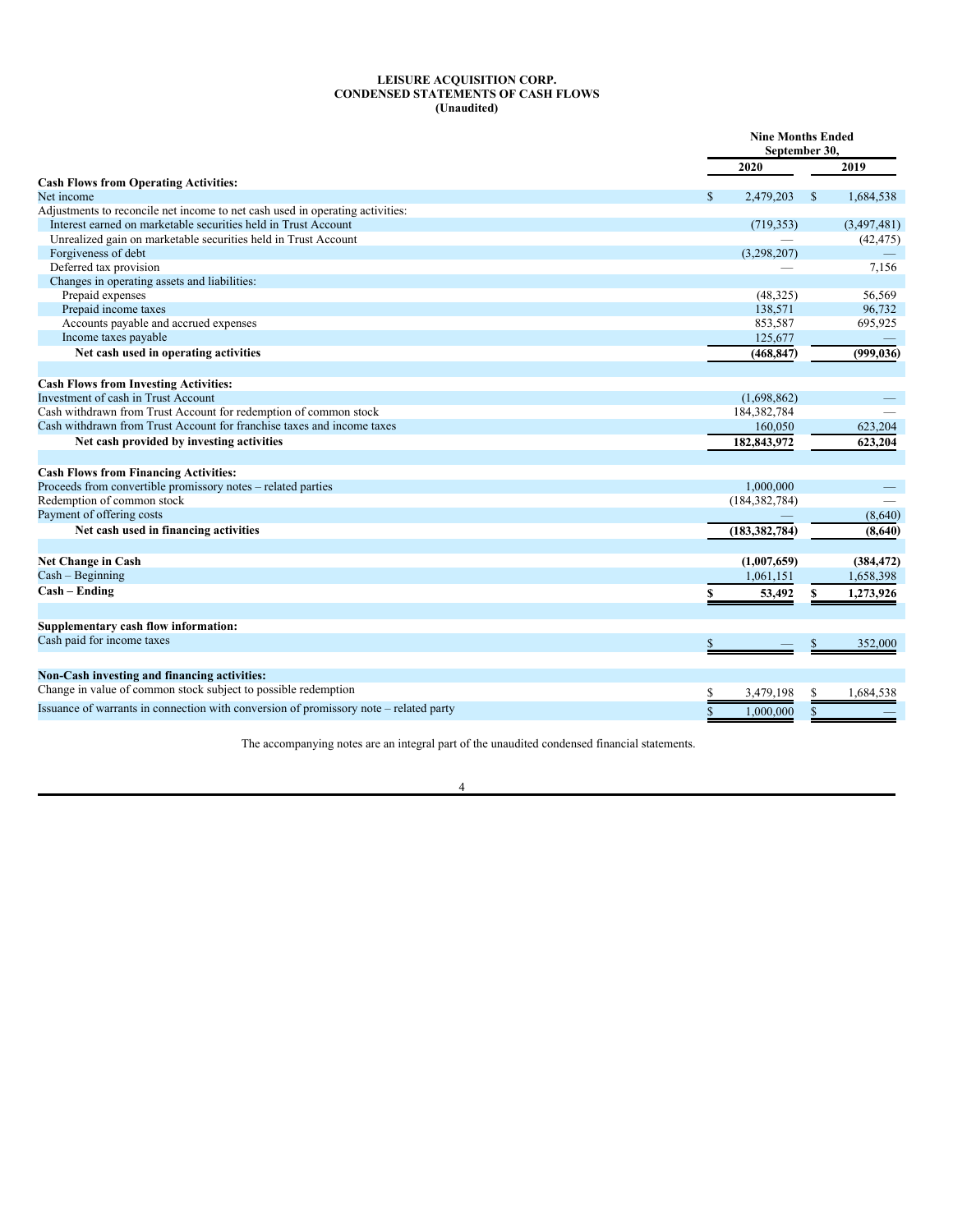#### **LEISURE ACQUISITION CORP. CONDENSED STATEMENTS OF CASH FLOWS (Unaudited)**

|                                                                                       |    | <b>Nine Months Ended</b><br>September 30, |              |             |
|---------------------------------------------------------------------------------------|----|-------------------------------------------|--------------|-------------|
|                                                                                       |    | 2020                                      |              | 2019        |
| <b>Cash Flows from Operating Activities:</b>                                          |    |                                           |              |             |
| Net income                                                                            | S. | 2,479,203                                 | $\mathbb{S}$ | 1,684,538   |
| Adjustments to reconcile net income to net cash used in operating activities:         |    |                                           |              |             |
| Interest earned on marketable securities held in Trust Account                        |    | (719, 353)                                |              | (3,497,481) |
| Unrealized gain on marketable securities held in Trust Account                        |    |                                           |              | (42, 475)   |
| Forgiveness of debt                                                                   |    | (3,298,207)                               |              |             |
| Deferred tax provision                                                                |    |                                           |              | 7,156       |
| Changes in operating assets and liabilities:                                          |    |                                           |              |             |
| Prepaid expenses                                                                      |    | (48, 325)                                 |              | 56,569      |
| Prepaid income taxes                                                                  |    | 138,571                                   |              | 96,732      |
| Accounts payable and accrued expenses                                                 |    | 853,587                                   |              | 695,925     |
| Income taxes payable                                                                  |    | 125,677                                   |              |             |
| Net cash used in operating activities                                                 |    | (468, 847)                                |              | (999, 036)  |
| <b>Cash Flows from Investing Activities:</b>                                          |    |                                           |              |             |
| Investment of cash in Trust Account                                                   |    | (1,698,862)                               |              |             |
| Cash withdrawn from Trust Account for redemption of common stock                      |    | 184,382,784                               |              |             |
| Cash withdrawn from Trust Account for franchise taxes and income taxes                |    | 160,050                                   |              | 623.204     |
| Net cash provided by investing activities                                             |    | 182,843,972                               |              | 623,204     |
| <b>Cash Flows from Financing Activities:</b>                                          |    |                                           |              |             |
| Proceeds from convertible promissory notes - related parties                          |    | 1,000,000                                 |              |             |
| Redemption of common stock                                                            |    | (184, 382, 784)                           |              |             |
| Payment of offering costs                                                             |    |                                           |              | (8,640)     |
| Net cash used in financing activities                                                 |    | (183, 382, 784)                           |              | (8,640)     |
| <b>Net Change in Cash</b>                                                             |    | (1,007,659)                               |              | (384, 472)  |
| $Cash - Beginning$                                                                    |    | 1,061,151                                 |              | 1,658,398   |
| Cash – Ending                                                                         |    | 53,492                                    |              | 1,273,926   |
|                                                                                       |    |                                           |              |             |
| Supplementary cash flow information:                                                  |    |                                           |              |             |
| Cash paid for income taxes                                                            |    |                                           |              | 352,000     |
| Non-Cash investing and financing activities:                                          |    |                                           |              |             |
| Change in value of common stock subject to possible redemption                        |    | 3,479,198                                 |              | 1,684,538   |
| Issuance of warrants in connection with conversion of promissory note – related party |    | 1,000,000                                 |              |             |

The accompanying notes are an integral part of the unaudited condensed financial statements.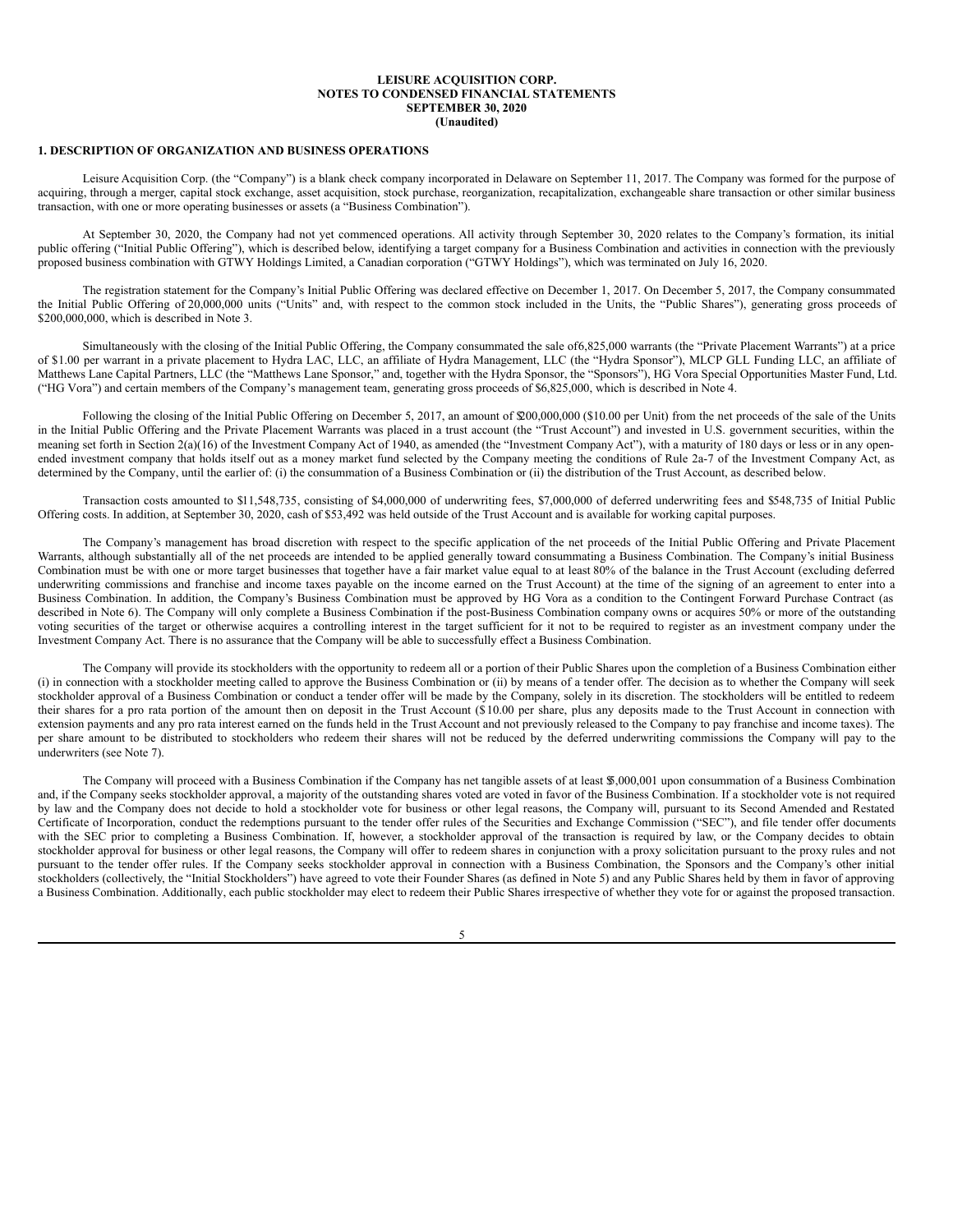### **1. DESCRIPTION OF ORGANIZATION AND BUSINESS OPERATIONS**

Leisure Acquisition Corp. (the "Company") is a blank check company incorporated in Delaware on September 11, 2017. The Company was formed for the purpose of acquiring, through a merger, capital stock exchange, asset acquisition, stock purchase, reorganization, recapitalization, exchangeable share transaction or other similar business transaction, with one or more operating businesses or assets (a "Business Combination").

At September 30, 2020, the Company had not yet commenced operations. All activity through September 30, 2020 relates to the Company's formation, its initial public offering ("Initial Public Offering"), which is described below, identifying a target company for a Business Combination and activities in connection with the previously proposed business combination with GTWY Holdings Limited, a Canadian corporation ("GTWY Holdings"), which was terminated on July 16, 2020.

The registration statement for the Company's Initial Public Offering was declared effective on December 1, 2017. On December 5, 2017, the Company consummated the Initial Public Offering of 20,000,000 units ("Units" and, with respect to the common stock included in the Units, the "Public Shares"), generating gross proceeds of \$200,000,000, which is described in Note 3.

Simultaneously with the closing of the Initial Public Offering, the Company consummated the sale of6,825,000 warrants (the "Private Placement Warrants") at a price of \$1.00 per warrant in a private placement to Hydra LAC, LLC, an affiliate of Hydra Management, LLC (the "Hydra Sponsor"), MLCP GLL Funding LLC, an affiliate of Matthews Lane Capital Partners, LLC (the "Matthews Lane Sponsor," and, together with the Hydra Sponsor, the "Sponsors"), HG Vora Special Opportunities Master Fund, Ltd. ("HG Vora") and certain members of the Company's management team, generating gross proceeds of \$6,825,000, which is described in Note 4.

Following the closing of the Initial Public Offering on December 5, 2017, an amount of \$200,000,000 (\$10.00 per Unit) from the net proceeds of the sale of the Units in the Initial Public Offering and the Private Placement Warrants was placed in a trust account (the "Trust Account") and invested in U.S. government securities, within the meaning set forth in Section 2(a)(16) of the Investment Company Act of 1940, as amended (the "Investment Company Act"), with a maturity of 180 days or less or in any openended investment company that holds itself out as a money market fund selected by the Company meeting the conditions of Rule 2a-7 of the Investment Company Act, as determined by the Company, until the earlier of: (i) the consummation of a Business Combination or (ii) the distribution of the Trust Account, as described below.

Transaction costs amounted to \$11,548,735, consisting of \$4,000,000 of underwriting fees, \$7,000,000 of deferred underwriting fees and \$548,735 of Initial Public Offering costs. In addition, at September 30, 2020, cash of \$53,492 was held outside of the Trust Account and is available for working capital purposes.

The Company's management has broad discretion with respect to the specific application of the net proceeds of the Initial Public Offering and Private Placement Warrants, although substantially all of the net proceeds are intended to be applied generally toward consummating a Business Combination. The Company's initial Business Combination must be with one or more target businesses that together have a fair market value equal to at least 80% of the balance in the Trust Account (excluding deferred underwriting commissions and franchise and income taxes payable on the income earned on the Trust Account) at the time of the signing of an agreement to enter into a Business Combination. In addition, the Company's Business Combination must be approved by HG Vora as a condition to the Contingent Forward Purchase Contract (as described in Note 6). The Company will only complete a Business Combination if the post-Business Combination company owns or acquires 50% or more of the outstanding voting securities of the target or otherwise acquires a controlling interest in the target sufficient for it not to be required to register as an investment company under the Investment Company Act. There is no assurance that the Company will be able to successfully effect a Business Combination.

The Company will provide its stockholders with the opportunity to redeem all or a portion of their Public Shares upon the completion of a Business Combination either (i) in connection with a stockholder meeting called to approve the Business Combination or (ii) by means of a tender offer. The decision as to whether the Company will seek stockholder approval of a Business Combination or conduct a tender offer will be made by the Company, solely in its discretion. The stockholders will be entitled to redeem their shares for a pro rata portion of the amount then on deposit in the Trust Account (\$10.00 per share, plus any deposits made to the Trust Account in connection with extension payments and any pro rata interest earned on the funds held in the Trust Account and not previously released to the Company to pay franchise and income taxes). The per share amount to be distributed to stockholders who redeem their shares will not be reduced by the deferred underwriting commissions the Company will pay to the underwriters (see Note 7).

The Company will proceed with a Business Combination if the Company has net tangible assets of at least \$,000,001 upon consummation of a Business Combination and, if the Company seeks stockholder approval, a majority of the outstanding shares voted are voted in favor of the Business Combination. If a stockholder vote is not required by law and the Company does not decide to hold a stockholder vote for business or other legal reasons, the Company will, pursuant to its Second Amended and Restated Certificate of Incorporation, conduct the redemptions pursuant to the tender offer rules of the Securities and Exchange Commission ("SEC"), and file tender offer documents with the SEC prior to completing a Business Combination. If, however, a stockholder approval of the transaction is required by law, or the Company decides to obtain stockholder approval for business or other legal reasons, the Company will offer to redeem shares in conjunction with a proxy solicitation pursuant to the proxy rules and not pursuant to the tender offer rules. If the Company seeks stockholder approval in connection with a Business Combination, the Sponsors and the Company's other initial stockholders (collectively, the "Initial Stockholders") have agreed to vote their Founder Shares (as defined in Note 5) and any Public Shares held by them in favor of approving a Business Combination. Additionally, each public stockholder may elect to redeem their Public Shares irrespective of whether they vote for or against the proposed transaction.

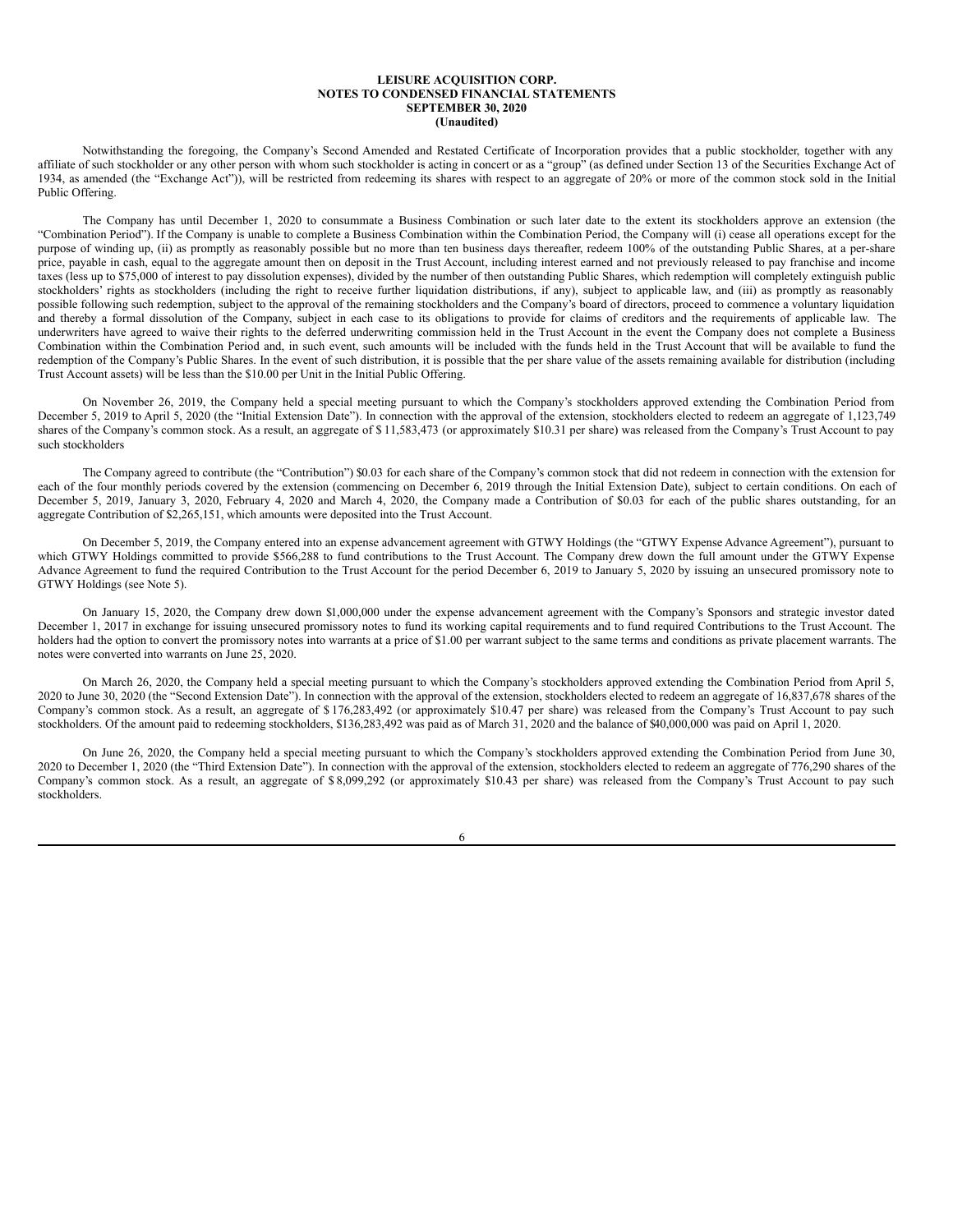Notwithstanding the foregoing, the Company's Second Amended and Restated Certificate of Incorporation provides that a public stockholder, together with any affiliate of such stockholder or any other person with whom such stockholder is acting in concert or as a "group" (as defined under Section 13 of the Securities Exchange Act of 1934, as amended (the "Exchange Act")), will be restricted from redeeming its shares with respect to an aggregate of 20% or more of the common stock sold in the Initial Public Offering.

The Company has until December 1, 2020 to consummate a Business Combination or such later date to the extent its stockholders approve an extension (the "Combination Period"). If the Company is unable to complete a Business Combination within the Combination Period, the Company will (i) cease all operations except for the purpose of winding up, (ii) as promptly as reasonably possible but no more than ten business days thereafter, redeem 100% of the outstanding Public Shares, at a per-share price, payable in cash, equal to the aggregate amount then on deposit in the Trust Account, including interest earned and not previously released to pay franchise and income taxes (less up to \$75,000 of interest to pay dissolution expenses), divided by the number of then outstanding Public Shares, which redemption will completely extinguish public stockholders' rights as stockholders (including the right to receive further liquidation distributions, if any), subject to applicable law, and (iii) as promptly as reasonably possible following such redemption, subject to the approval of the remaining stockholders and the Company's board of directors, proceed to commence a voluntary liquidation and thereby a formal dissolution of the Company, subject in each case to its obligations to provide for claims of creditors and the requirements of applicable law. The underwriters have agreed to waive their rights to the deferred underwriting commission held in the Trust Account in the event the Company does not complete a Business Combination within the Combination Period and, in such event, such amounts will be included with the funds held in the Trust Account that will be available to fund the redemption of the Company's Public Shares. In the event of such distribution, it is possible that the per share value of the assets remaining available for distribution (including Trust Account assets) will be less than the \$10.00 per Unit in the Initial Public Offering.

On November 26, 2019, the Company held a special meeting pursuant to which the Company's stockholders approved extending the Combination Period from December 5, 2019 to April 5, 2020 (the "Initial Extension Date"). In connection with the approval of the extension, stockholders elected to redeem an aggregate of 1,123,749 shares of the Company's common stock. As a result, an aggregate of \$11,583,473 (or approximately \$10.31 per share) was released from the Company's Trust Account to pay such stockholders

The Company agreed to contribute (the "Contribution") \$0.03 for each share of the Company's common stock that did not redeem in connection with the extension for each of the four monthly periods covered by the extension (commencing on December 6, 2019 through the Initial Extension Date), subject to certain conditions. On each of December 5, 2019, January 3, 2020, February 4, 2020 and March 4, 2020, the Company made a Contribution of \$0.03 for each of the public shares outstanding, for an aggregate Contribution of \$2,265,151, which amounts were deposited into the Trust Account.

On December 5, 2019, the Company entered into an expense advancement agreement with GTWY Holdings (the "GTWY Expense Advance Agreement"), pursuant to which GTWY Holdings committed to provide \$566,288 to fund contributions to the Trust Account. The Company drew down the full amount under the GTWY Expense Advance Agreement to fund the required Contribution to the Trust Account for the period December 6, 2019 to January 5, 2020 by issuing an unsecured promissory note to GTWY Holdings (see Note 5).

On January 15, 2020, the Company drew down \$1,000,000 under the expense advancement agreement with the Company's Sponsors and strategic investor dated December 1, 2017 in exchange for issuing unsecured promissory notes to fund its working capital requirements and to fund required Contributions to the Trust Account. The holders had the option to convert the promissory notes into warrants at a price of \$1.00 per warrant subject to the same terms and conditions as private placement warrants. The notes were converted into warrants on June 25, 2020.

On March 26, 2020, the Company held a special meeting pursuant to which the Company's stockholders approved extending the Combination Period from April 5, 2020 to June 30, 2020 (the "Second Extension Date"). In connection with the approval of the extension, stockholders elected to redeem an aggregate of 16,837,678 shares of the Company's common stock. As a result, an aggregate of \$ 176,283,492 (or approximately \$10.47 per share) was released from the Company's Trust Account to pay such stockholders. Of the amount paid to redeeming stockholders, \$136,283,492 was paid as of March 31, 2020 and the balance of \$40,000,000 was paid on April 1, 2020.

On June 26, 2020, the Company held a special meeting pursuant to which the Company's stockholders approved extending the Combination Period from June 30, 2020 to December 1, 2020 (the "Third Extension Date"). In connection with the approval of the extension, stockholders elected to redeem an aggregate of 776,290 shares of the Company's common stock. As a result, an aggregate of \$ 8,099,292 (or approximately \$10.43 per share) was released from the Company's Trust Account to pay such stockholders.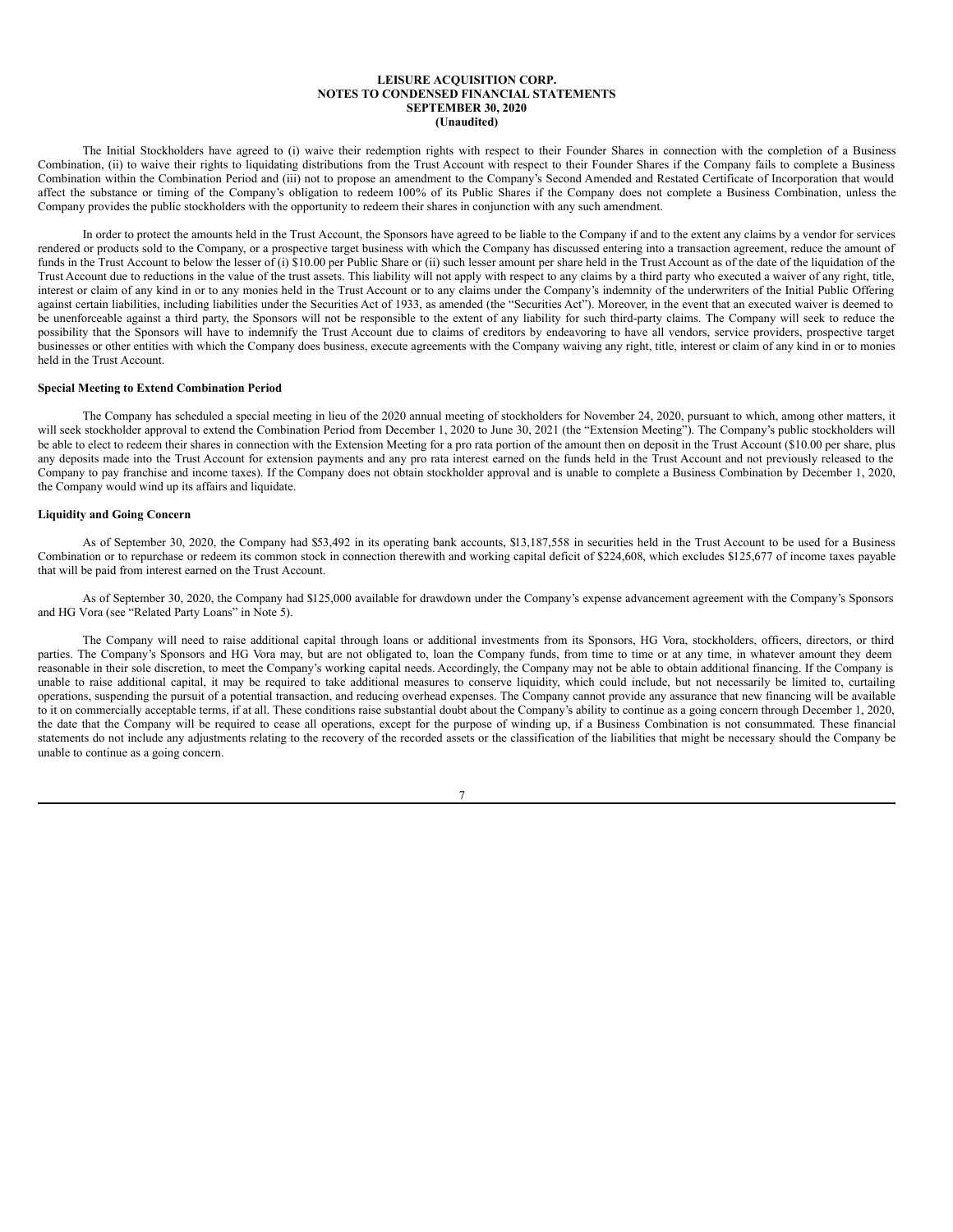The Initial Stockholders have agreed to (i) waive their redemption rights with respect to their Founder Shares in connection with the completion of a Business Combination, (ii) to waive their rights to liquidating distributions from the Trust Account with respect to their Founder Shares if the Company fails to complete a Business Combination within the Combination Period and (iii) not to propose an amendment to the Company's Second Amended and Restated Certificate of Incorporation that would affect the substance or timing of the Company's obligation to redeem 100% of its Public Shares if the Company does not complete a Business Combination, unless the Company provides the public stockholders with the opportunity to redeem their shares in conjunction with any such amendment.

In order to protect the amounts held in the Trust Account, the Sponsors have agreed to be liable to the Company if and to the extent any claims by a vendor for services rendered or products sold to the Company, or a prospective target business with which the Company has discussed entering into a transaction agreement, reduce the amount of funds in the Trust Account to below the lesser of (i) \$10.00 per Public Share or (ii) such lesser amount per share held in the Trust Account as of the date of the liquidation of the Trust Account due to reductions in the value of the trust assets. This liability will not apply with respect to any claims by a third party who executed a waiver of any right, title, interest or claim of any kind in or to any monies held in the Trust Account or to any claims under the Company's indemnity of the underwriters of the Initial Public Offering against certain liabilities, including liabilities under the Securities Act of 1933, as amended (the "Securities Act"). Moreover, in the event that an executed waiver is deemed to be unenforceable against a third party, the Sponsors will not be responsible to the extent of any liability for such third-party claims. The Company will seek to reduce the possibility that the Sponsors will have to indemnify the Trust Account due to claims of creditors by endeavoring to have all vendors, service providers, prospective target businesses or other entities with which the Company does business, execute agreements with the Company waiving any right, title, interest or claim of any kind in or to monies held in the Trust Account.

#### **Special Meeting to Extend Combination Period**

The Company has scheduled a special meeting in lieu of the 2020 annual meeting of stockholders for November 24, 2020, pursuant to which, among other matters, it will seek stockholder approval to extend the Combination Period from December 1, 2020 to June 30, 2021 (the "Extension Meeting"). The Company's public stockholders will be able to elect to redeem their shares in connection with the Extension Meeting for a pro rata portion of the amount then on deposit in the Trust Account (\$10.00 per share, plus any deposits made into the Trust Account for extension payments and any pro rata interest earned on the funds held in the Trust Account and not previously released to the Company to pay franchise and income taxes). If the Company does not obtain stockholder approval and is unable to complete a Business Combination by December 1, 2020, the Company would wind up its affairs and liquidate.

### **Liquidity and Going Concern**

As of September 30, 2020, the Company had \$53,492 in its operating bank accounts, \$13,187,558 in securities held in the Trust Account to be used for a Business Combination or to repurchase or redeem its common stock in connection therewith and working capital deficit of \$224,608, which excludes \$125,677 of income taxes payable that will be paid from interest earned on the Trust Account.

As of September 30, 2020, the Company had \$125,000 available for drawdown under the Company's expense advancement agreement with the Company's Sponsors and HG Vora (see "Related Party Loans" in Note 5).

The Company will need to raise additional capital through loans or additional investments from its Sponsors, HG Vora, stockholders, officers, directors, or third parties. The Company's Sponsors and HG Vora may, but are not obligated to, loan the Company funds, from time to time or at any time, in whatever amount they deem reasonable in their sole discretion, to meet the Company's working capital needs. Accordingly, the Company may not be able to obtain additional financing. If the Company is unable to raise additional capital, it may be required to take additional measures to conserve liquidity, which could include, but not necessarily be limited to, curtailing operations, suspending the pursuit of a potential transaction, and reducing overhead expenses. The Company cannot provide any assurance that new financing will be available to it on commercially acceptable terms, if at all. These conditions raise substantial doubt about the Company's ability to continue as a going concern through December 1, 2020, the date that the Company will be required to cease all operations, except for the purpose of winding up, if a Business Combination is not consummated. These financial statements do not include any adjustments relating to the recovery of the recorded assets or the classification of the liabilities that might be necessary should the Company be unable to continue as a going concern.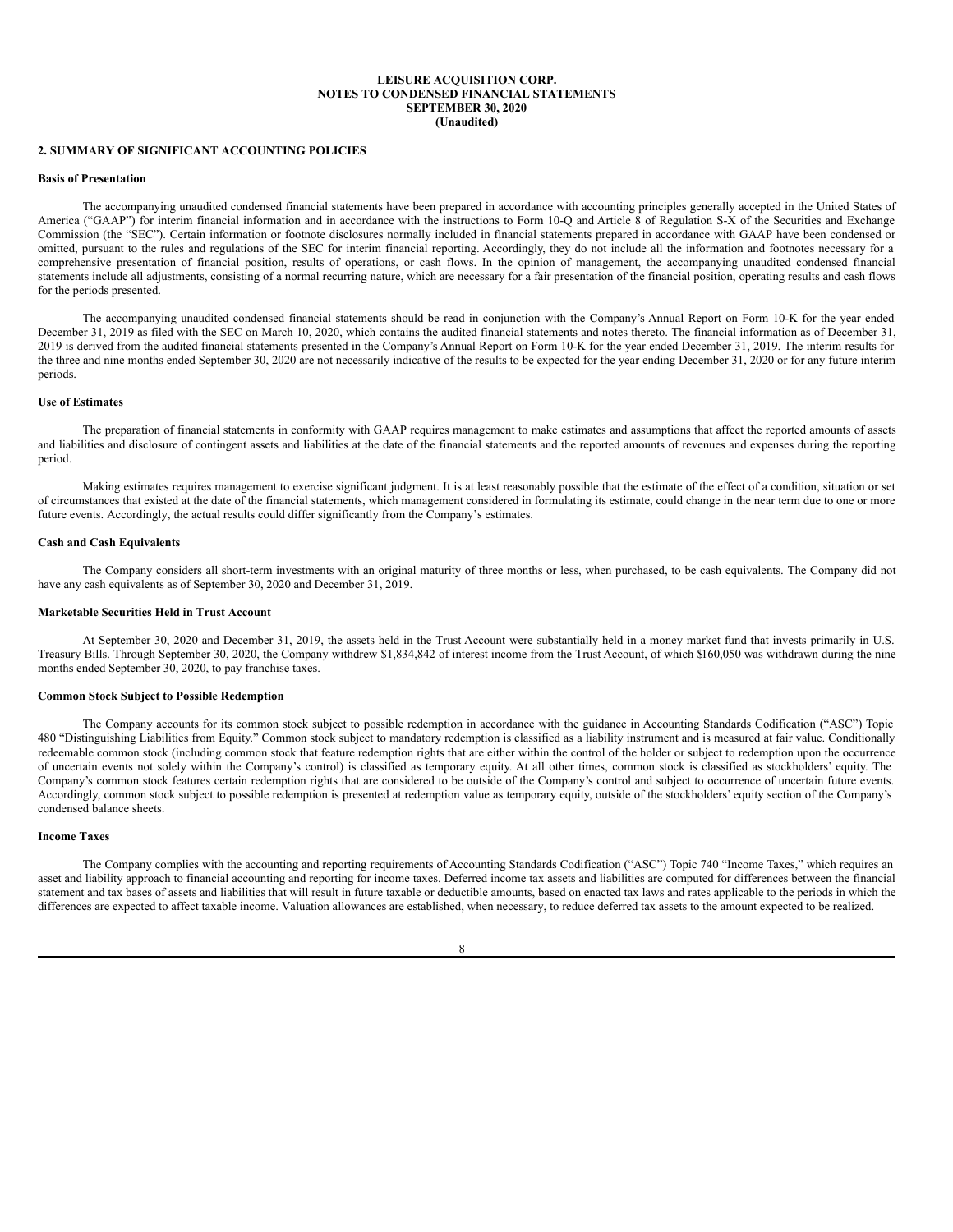### **2. SUMMARY OF SIGNIFICANT ACCOUNTING POLICIES**

### **Basis of Presentation**

The accompanying unaudited condensed financial statements have been prepared in accordance with accounting principles generally accepted in the United States of America ("GAAP") for interim financial information and in accordance with the instructions to Form 10-Q and Article 8 of Regulation S-X of the Securities and Exchange Commission (the "SEC"). Certain information or footnote disclosures normally included in financial statements prepared in accordance with GAAP have been condensed or omitted, pursuant to the rules and regulations of the SEC for interim financial reporting. Accordingly, they do not include all the information and footnotes necessary for a comprehensive presentation of financial position, results of operations, or cash flows. In the opinion of management, the accompanying unaudited condensed financial statements include all adjustments, consisting of a normal recurring nature, which are necessary for a fair presentation of the financial position, operating results and cash flows for the periods presented.

The accompanying unaudited condensed financial statements should be read in conjunction with the Company's Annual Report on Form 10-K for the year ended December 31, 2019 as filed with the SEC on March 10, 2020, which contains the audited financial statements and notes thereto. The financial information as of December 31, 2019 is derived from the audited financial statements presented in the Company's Annual Report on Form 10-K for the year ended December 31, 2019. The interim results for the three and nine months ended September 30, 2020 are not necessarily indicative of the results to be expected for the year ending December 31, 2020 or for any future interim periods.

### **Use of Estimates**

The preparation of financial statements in conformity with GAAP requires management to make estimates and assumptions that affect the reported amounts of assets and liabilities and disclosure of contingent assets and liabilities at the date of the financial statements and the reported amounts of revenues and expenses during the reporting period.

Making estimates requires management to exercise significant judgment. It is at least reasonably possible that the estimate of the effect of a condition, situation or set of circumstances that existed at the date of the financial statements, which management considered in formulating its estimate, could change in the near term due to one or more future events. Accordingly, the actual results could differ significantly from the Company's estimates.

### **Cash and Cash Equivalents**

The Company considers all short-term investments with an original maturity of three months or less, when purchased, to be cash equivalents. The Company did not have any cash equivalents as of September 30, 2020 and December 31, 2019.

#### **Marketable Securities Held in Trust Account**

At September 30, 2020 and December 31, 2019, the assets held in the Trust Account were substantially held in a money market fund that invests primarily in U.S. Treasury Bills. Through September 30, 2020, the Company withdrew \$1,834,842 of interest income from the Trust Account, of which \$160,050 was withdrawn during the nine months ended September 30, 2020, to pay franchise taxes.

#### **Common Stock Subject to Possible Redemption**

The Company accounts for its common stock subject to possible redemption in accordance with the guidance in Accounting Standards Codification ("ASC") Topic 480 "Distinguishing Liabilities from Equity." Common stock subject to mandatory redemption is classified as a liability instrument and is measured at fair value. Conditionally redeemable common stock (including common stock that feature redemption rights that are either within the control of the holder or subject to redemption upon the occurrence of uncertain events not solely within the Company's control) is classified as temporary equity. At all other times, common stock is classified as stockholders' equity. The Company's common stock features certain redemption rights that are considered to be outside of the Company's control and subject to occurrence of uncertain future events. Accordingly, common stock subject to possible redemption is presented at redemption value as temporary equity, outside of the stockholders' equity section of the Company's condensed balance sheets.

### **Income Taxes**

The Company complies with the accounting and reporting requirements of Accounting Standards Codification ("ASC") Topic 740 "Income Taxes," which requires an asset and liability approach to financial accounting and reporting for income taxes. Deferred income tax assets and liabilities are computed for differences between the financial statement and tax bases of assets and liabilities that will result in future taxable or deductible amounts, based on enacted tax laws and rates applicable to the periods in which the differences are expected to affect taxable income. Valuation allowances are established, when necessary, to reduce deferred tax assets to the amount expected to be realized.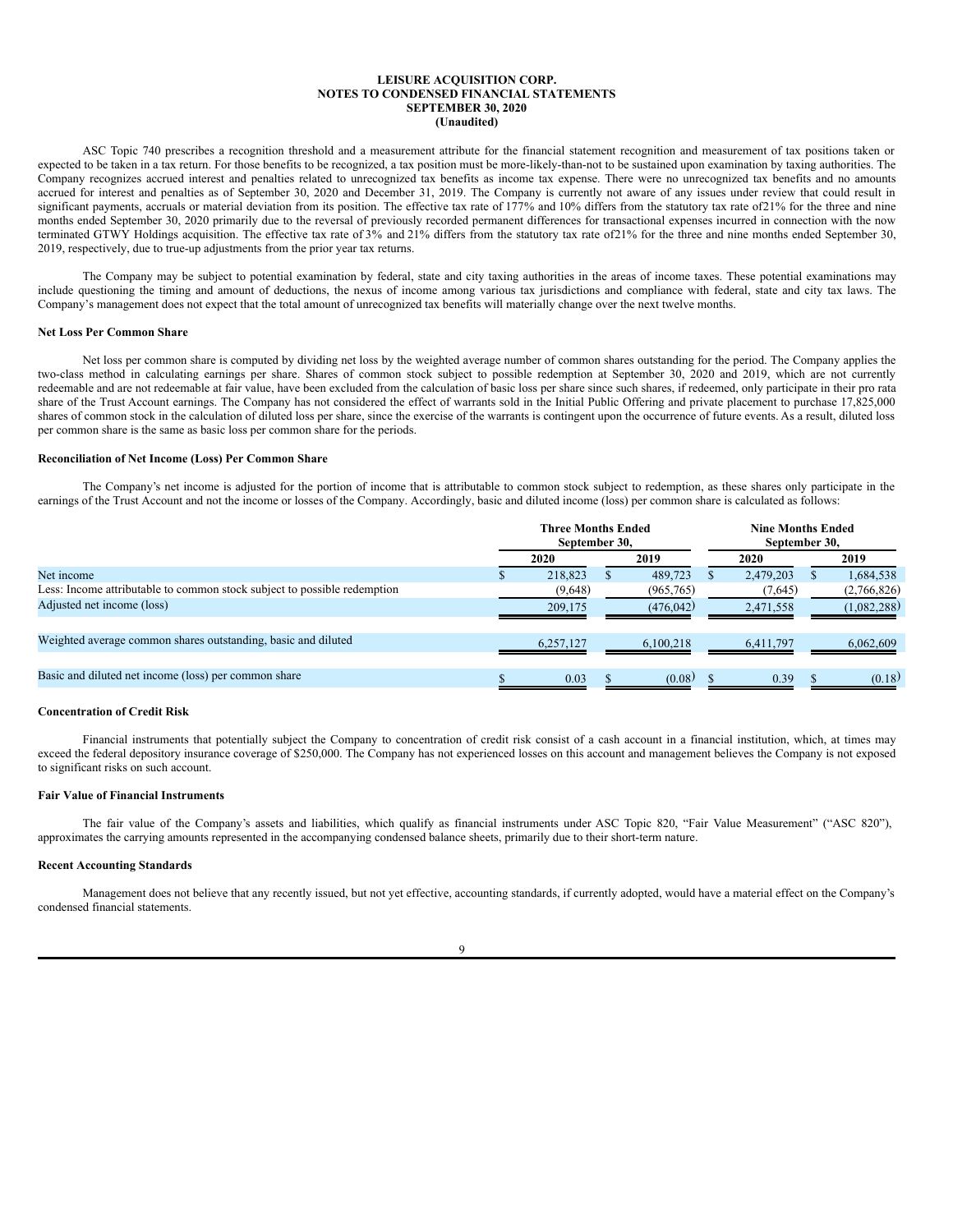ASC Topic 740 prescribes a recognition threshold and a measurement attribute for the financial statement recognition and measurement of tax positions taken or expected to be taken in a tax return. For those benefits to be recognized, a tax position must be more-likely-than-not to be sustained upon examination by taxing authorities. The Company recognizes accrued interest and penalties related to unrecognized tax benefits as income tax expense. There were no unrecognized tax benefits and no amounts accrued for interest and penalties as of September 30, 2020 and December 31, 2019. The Company is currently not aware of any issues under review that could result in significant payments, accruals or material deviation from its position. The effective tax rate of  $177\%$  and  $10\%$  differs from the statutory tax rate of  $21\%$  for the three and nine months ended September 30, 2020 primarily due to the reversal of previously recorded permanent differences for transactional expenses incurred in connection with the now terminated GTWY Holdings acquisition. The effective tax rate of  $3\%$  and  $21\%$  differs from the statutory tax rate of  $21\%$  for the three and nine months ended September 30, 2019, respectively, due to true-up adjustments from the prior year tax returns.

The Company may be subject to potential examination by federal, state and city taxing authorities in the areas of income taxes. These potential examinations may include questioning the timing and amount of deductions, the nexus of income among various tax jurisdictions and compliance with federal, state and city tax laws. The Company's management does not expect that the total amount of unrecognized tax benefits will materially change over the next twelve months.

### **Net Loss Per Common Share**

Net loss per common share is computed by dividing net loss by the weighted average number of common shares outstanding for the period. The Company applies the two-class method in calculating earnings per share. Shares of common stock subject to possible redemption at September 30, 2020 and 2019, which are not currently redeemable and are not redeemable at fair value, have been excluded from the calculation of basic loss per share since such shares, if redeemed, only participate in their pro rata share of the Trust Account earnings. The Company has not considered the effect of warrants sold in the Initial Public Offering and private placement to purchase 17,825,000 shares of common stock in the calculation of diluted loss per share, since the exercise of the warrants is contingent upon the occurrence of future events. As a result, diluted loss per common share is the same as basic loss per common share for the periods.

#### **Reconciliation of Net Income (Loss) Per Common Share**

The Company's net income is adjusted for the portion of income that is attributable to common stock subject to redemption, as these shares only participate in the earnings of the Trust Account and not the income or losses of the Company. Accordingly, basic and diluted income (loss) per common share is calculated as follows:

|                                                                          | <b>Three Months Ended</b><br>September 30, |            | <b>Nine Months Ended</b><br>September 30, |             |
|--------------------------------------------------------------------------|--------------------------------------------|------------|-------------------------------------------|-------------|
|                                                                          | 2020                                       | 2019       | 2020                                      | 2019        |
| Net income                                                               | 218,823                                    | 489.723    | 2,479,203                                 | 1,684,538   |
| Less: Income attributable to common stock subject to possible redemption | (9,648)                                    | (965, 765) | (7,645)                                   | (2,766,826) |
| Adjusted net income (loss)                                               | 209,175                                    | (476, 042) | 2,471,558                                 | (1,082,288) |
| Weighted average common shares outstanding, basic and diluted            | 6,257,127                                  | 6.100.218  | 6,411,797                                 | 6,062,609   |
| Basic and diluted net income (loss) per common share                     | 0.03                                       | (0.08)     | 0.39                                      | (0.18)      |

#### **Concentration of Credit Risk**

Financial instruments that potentially subject the Company to concentration of credit risk consist of a cash account in a financial institution, which, at times may exceed the federal depository insurance coverage of \$250,000. The Company has not experienced losses on this account and management believes the Company is not exposed to significant risks on such account.

#### **Fair Value of Financial Instruments**

The fair value of the Company's assets and liabilities, which qualify as financial instruments under ASC Topic 820, "Fair Value Measurement" ("ASC 820"), approximates the carrying amounts represented in the accompanying condensed balance sheets, primarily due to their short-term nature.

### **Recent Accounting Standards**

Management does not believe that any recently issued, but not yet effective, accounting standards, if currently adopted, would have a material effect on the Company's condensed financial statements.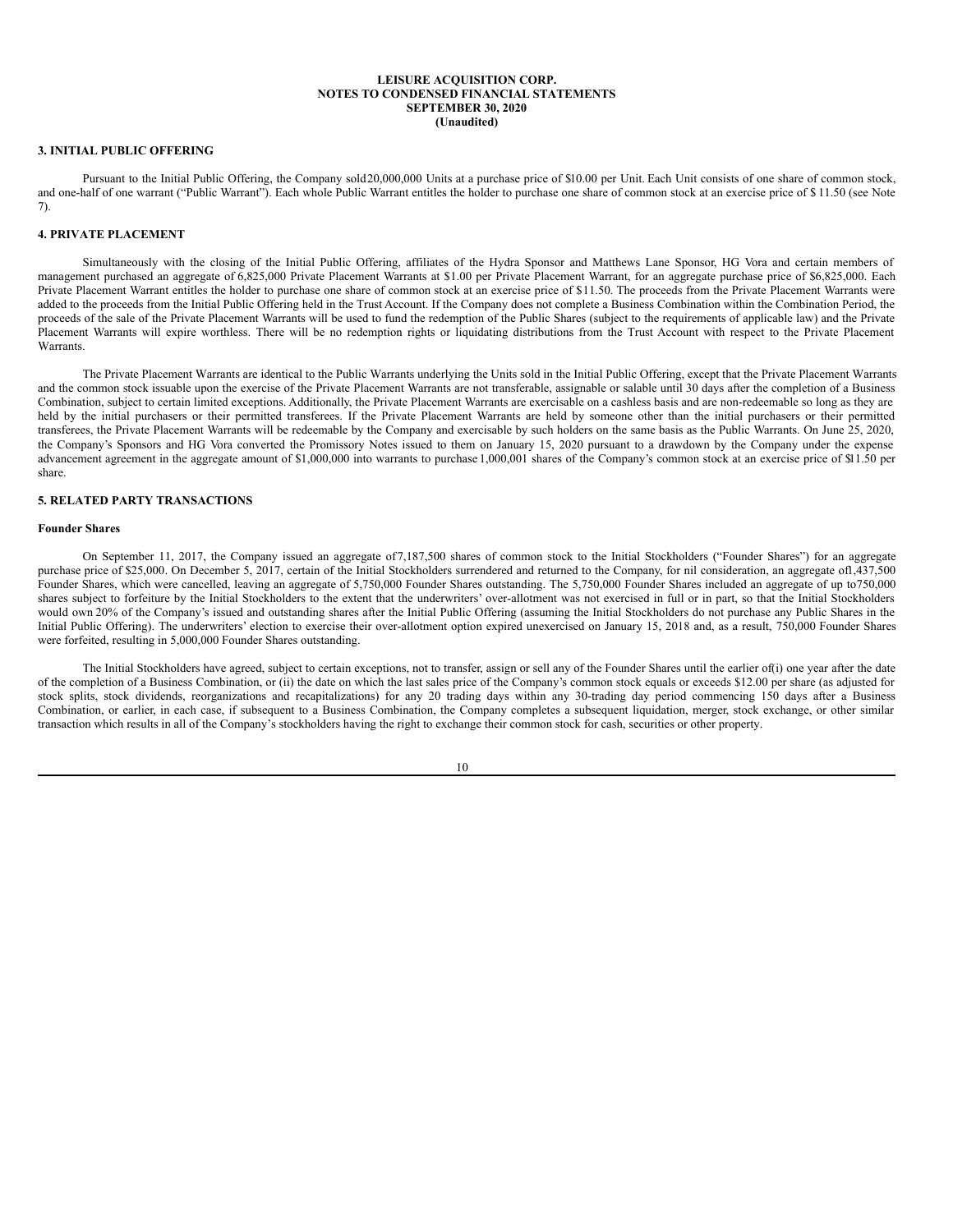### **3. INITIAL PUBLIC OFFERING**

Pursuant to the Initial Public Offering, the Company sold 20,000,000 Units at a purchase price of \$10.00 per Unit. Each Unit consists of one share of common stock, and one-half of one warrant ("Public Warrant"). Each whole Public Warrant entitles the holder to purchase one share of common stock at an exercise price of \$ 11.50 (see Note 7).

### **4. PRIVATE PLACEMENT**

Simultaneously with the closing of the Initial Public Offering, affiliates of the Hydra Sponsor and Matthews Lane Sponsor, HG Vora and certain members of management purchased an aggregate of 6,825,000 Private Placement Warrants at \$1.00 per Private Placement Warrant, for an aggregate purchase price of \$6,825,000. Each Private Placement Warrant entitles the holder to purchase one share of common stock at an exercise price of \$11.50. The proceeds from the Private Placement Warrants were added to the proceeds from the Initial Public Offering held in the Trust Account. If the Company does not complete a Business Combination within the Combination Period, the proceeds of the sale of the Private Placement Warrants will be used to fund the redemption of the Public Shares (subject to the requirements of applicable law) and the Private Placement Warrants will expire worthless. There will be no redemption rights or liquidating distributions from the Trust Account with respect to the Private Placement Warrants.

The Private Placement Warrants are identical to the Public Warrants underlying the Units sold in the Initial Public Offering, except that the Private Placement Warrants and the common stock issuable upon the exercise of the Private Placement Warrants are not transferable, assignable or salable until 30 days after the completion of a Business Combination, subject to certain limited exceptions. Additionally, the Private Placement Warrants are exercisable on a cashless basis and are non-redeemable so long as they are held by the initial purchasers or their permitted transferees. If the Private Placement Warrants are held by someone other than the initial purchasers or their permitted transferees, the Private Placement Warrants will be redeemable by the Company and exercisable by such holders on the same basis as the Public Warrants. On June 25, 2020, the Company's Sponsors and HG Vora converted the Promissory Notes issued to them on January 15, 2020 pursuant to a drawdown by the Company under the expense advancement agreement in the aggregate amount of \$1,000,000 into warrants to purchase 1,000,001 shares of the Company's common stock at an exercise price of \$11.50 per share.

### **5. RELATED PARTY TRANSACTIONS**

#### **Founder Shares**

On September 11, 2017, the Company issued an aggregate of7,187,500 shares of common stock to the Initial Stockholders ("Founder Shares") for an aggregate purchase price of \$25,000. On December 5, 2017, certain of the Initial Stockholders surrendered and returned to the Company, for nil consideration, an aggregate of1,437,500 Founder Shares, which were cancelled, leaving an aggregate of 5,750,000 Founder Shares outstanding. The 5,750,000 Founder Shares included an aggregate of up to750,000 shares subject to forfeiture by the Initial Stockholders to the extent that the underwriters' over-allotment was not exercised in full or in part, so that the Initial Stockholders would own 20% of the Company's issued and outstanding shares after the Initial Public Offering (assuming the Initial Stockholders do not purchase any Public Shares in the Initial Public Offering). The underwriters' election to exercise their over-allotment option expired unexercised on January 15, 2018 and, as a result, 750,000 Founder Shares were forfeited, resulting in 5,000,000 Founder Shares outstanding.

The Initial Stockholders have agreed, subject to certain exceptions, not to transfer, assign or sell any of the Founder Shares until the earlier of(i) one year after the date of the completion of a Business Combination, or (ii) the date on which the last sales price of the Company's common stock equals or exceeds \$12.00 per share (as adjusted for stock splits, stock dividends, reorganizations and recapitalizations) for any 20 trading days within any 30-trading day period commencing 150 days after a Business Combination, or earlier, in each case, if subsequent to a Business Combination, the Company completes a subsequent liquidation, merger, stock exchange, or other similar transaction which results in all of the Company's stockholders having the right to exchange their common stock for cash, securities or other property.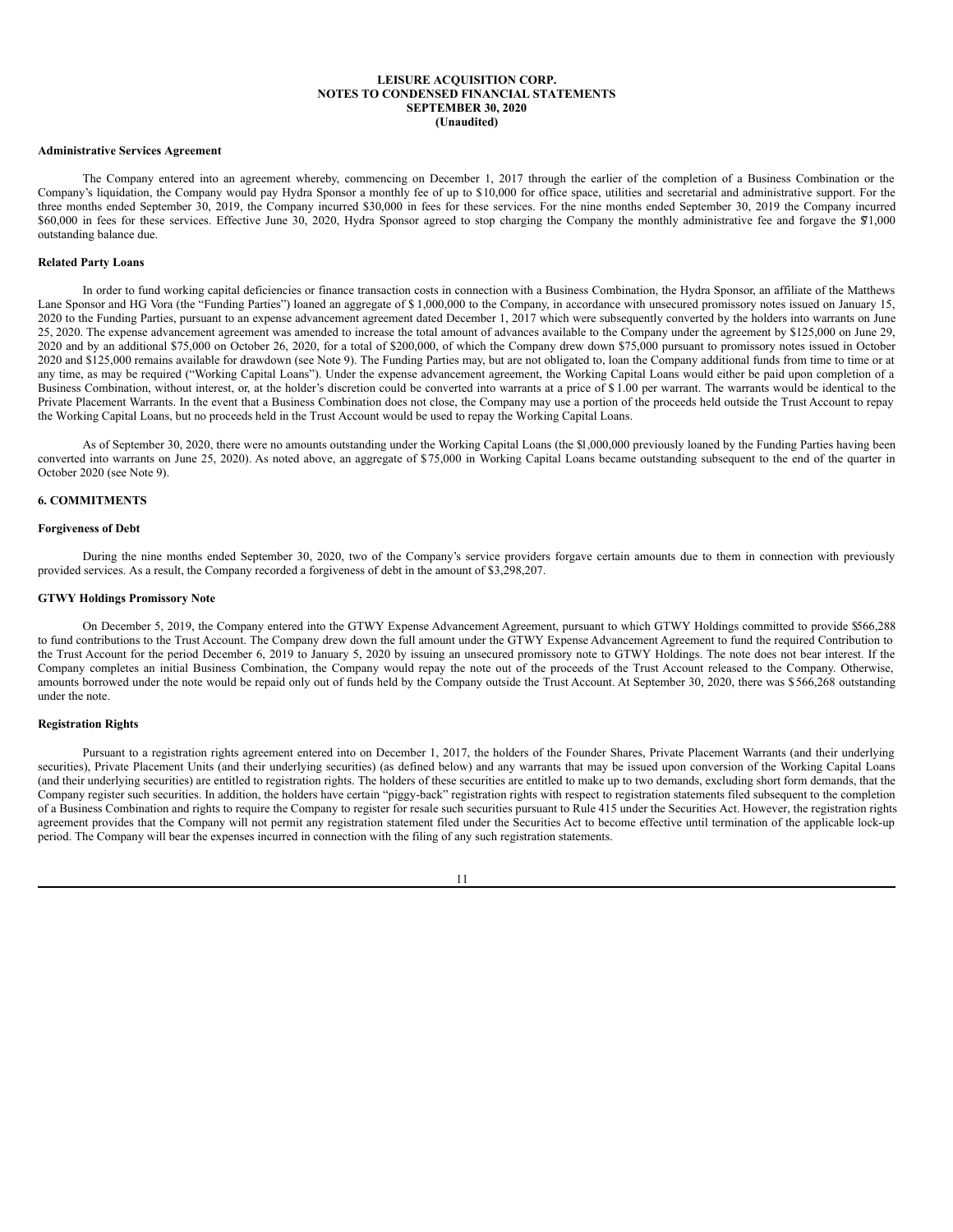#### **Administrative Services Agreement**

The Company entered into an agreement whereby, commencing on December 1, 2017 through the earlier of the completion of a Business Combination or the Company's liquidation, the Company would pay Hydra Sponsor a monthly fee of up to \$10,000 for office space, utilities and secretarial and administrative support. For the three months ended September 30, 2019, the Company incurred \$30,000 in fees for these services. For the nine months ended September 30, 2019 the Company incurred \$60,000 in fees for these services. Effective June 30, 2020, Hydra Sponsor agreed to stop charging the Company the monthly administrative fee and forgave the \$71,000 outstanding balance due.

#### **Related Party Loans**

In order to fund working capital deficiencies or finance transaction costs in connection with a Business Combination, the Hydra Sponsor, an affiliate of the Matthews Lane Sponsor and HG Vora (the "Funding Parties") loaned an aggregate of \$1,000,000 to the Company, in accordance with unsecured promissory notes issued on January 15, 2020 to the Funding Parties, pursuant to an expense advancement agreement dated December 1, 2017 which were subsequently converted by the holders into warrants on June 25, 2020. The expense advancement agreement was amended to increase the total amount of advances available to the Company under the agreement by \$125,000 on June 29, 2020 and by an additional \$75,000 on October 26, 2020, for a total of \$200,000, of which the Company drew down \$75,000 pursuant to promissory notes issued in October 2020 and \$125,000 remains available for drawdown (see Note 9). The Funding Parties may, but are not obligated to, loan the Company additional funds from time to time or at any time, as may be required ("Working Capital Loans"). Under the expense advancement agreement, the Working Capital Loans would either be paid upon completion of a Business Combination, without interest, or, at the holder's discretion could be converted into warrants at a price of \$1.00 per warrant. The warrants would be identical to the Private Placement Warrants. In the event that a Business Combination does not close, the Company may use a portion of the proceeds held outside the Trust Account to repay the Working Capital Loans, but no proceeds held in the Trust Account would be used to repay the Working Capital Loans.

As of September 30, 2020, there were no amounts outstanding under the Working Capital Loans (the \$1,000,000 previously loaned by the Funding Parties having been converted into warrants on June 25, 2020). As noted above, an aggregate of \$75,000 in Working Capital Loans became outstanding subsequent to the end of the quarter in October 2020 (see Note 9).

#### **6. COMMITMENTS**

#### **Forgiveness of Debt**

During the nine months ended September 30, 2020, two of the Company's service providers forgave certain amounts due to them in connection with previously provided services. As a result, the Company recorded a forgiveness of debt in the amount of \$3,298,207.

### **GTWY Holdings Promissory Note**

On December 5, 2019, the Company entered into the GTWY Expense Advancement Agreement, pursuant to which GTWY Holdings committed to provide \$566,288 to fund contributions to the Trust Account. The Company drew down the full amount under the GTWY Expense Advancement Agreement to fund the required Contribution to the Trust Account for the period December 6, 2019 to January 5, 2020 by issuing an unsecured promissory note to GTWY Holdings. The note does not bear interest. If the Company completes an initial Business Combination, the Company would repay the note out of the proceeds of the Trust Account released to the Company. Otherwise, amounts borrowed under the note would be repaid only out of funds held by the Company outside the Trust Account. At September 30, 2020, there was \$ 566,268 outstanding under the note.

### **Registration Rights**

Pursuant to a registration rights agreement entered into on December 1, 2017, the holders of the Founder Shares, Private Placement Warrants (and their underlying securities), Private Placement Units (and their underlying securities) (as defined below) and any warrants that may be issued upon conversion of the Working Capital Loans (and their underlying securities) are entitled to registration rights. The holders of these securities are entitled to make up to two demands, excluding short form demands, that the Company register such securities. In addition, the holders have certain "piggy-back" registration rights with respect to registration statements filed subsequent to the completion of a Business Combination and rights to require the Company to register for resale such securities pursuant to Rule 415 under the Securities Act. However, the registration rights agreement provides that the Company will not permit any registration statement filed under the Securities Act to become effective until termination of the applicable lock-up period. The Company will bear the expenses incurred in connection with the filing of any such registration statements.

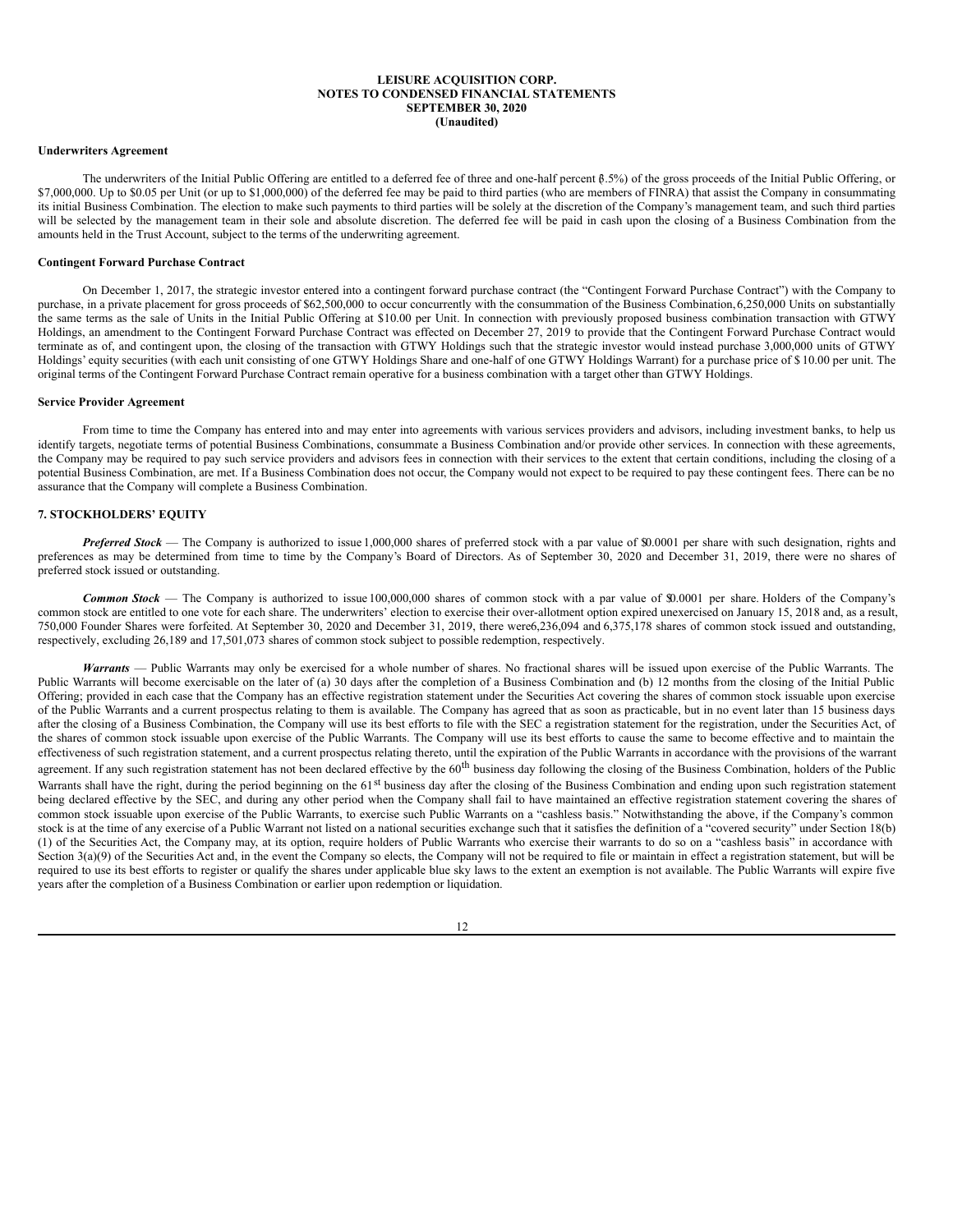#### **Underwriters Agreement**

The underwriters of the Initial Public Offering are entitled to a deferred fee of three and one-half percent  $\beta$ , 5%) of the gross proceeds of the Initial Public Offering, or \$7,000,000. Up to \$0.05 per Unit (or up to \$1,000,000) of the deferred fee may be paid to third parties (who are members of FINRA) that assist the Company in consummating its initial Business Combination. The election to make such payments to third parties will be solely at the discretion of the Company's management team, and such third parties will be selected by the management team in their sole and absolute discretion. The deferred fee will be paid in cash upon the closing of a Business Combination from the amounts held in the Trust Account, subject to the terms of the underwriting agreement.

#### **Contingent Forward Purchase Contract**

On December 1, 2017, the strategic investor entered into a contingent forward purchase contract (the "Contingent Forward Purchase Contract") with the Company to purchase, in a private placement for gross proceeds of \$62,500,000 to occur concurrently with the consummation of the Business Combination, 6,250,000 Units on substantially the same terms as the sale of Units in the Initial Public Offering at \$10.00 per Unit. In connection with previously proposed business combination transaction with GTWY Holdings, an amendment to the Contingent Forward Purchase Contract was effected on December 27, 2019 to provide that the Contingent Forward Purchase Contract would terminate as of, and contingent upon, the closing of the transaction with GTWY Holdings such that the strategic investor would instead purchase 3,000,000 units of GTWY Holdings' equity securities (with each unit consisting of one GTWY Holdings Share and one-half of one GTWY Holdings Warrant) for a purchase price of \$ 10.00 per unit. The original terms of the Contingent Forward Purchase Contract remain operative for a business combination with a target other than GTWY Holdings.

### **Service Provider Agreement**

From time to time the Company has entered into and may enter into agreements with various services providers and advisors, including investment banks, to help us identify targets, negotiate terms of potential Business Combinations, consummate a Business Combination and/or provide other services. In connection with these agreements, the Company may be required to pay such service providers and advisors fees in connection with their services to the extent that certain conditions, including the closing of a potential Business Combination, are met. If a Business Combination does not occur, the Company would not expect to be required to pay these contingent fees. There can be no assurance that the Company will complete a Business Combination.

### **7. STOCKHOLDERS' EQUITY**

*Preferred Stock* — The Company is authorized to issue 1,000,000 shares of preferred stock with a par value of \$0.0001 per share with such designation, rights and preferences as may be determined from time to time by the Company's Board of Directors. As of September 30, 2020 and December 31, 2019, there were no shares of preferred stock issued or outstanding.

*Common Stock* — The Company is authorized to issue 100,000,000 shares of common stock with a par value of \$0.0001 per share. Holders of the Company's common stock are entitled to one vote for each share. The underwriters' election to exercise their over-allotment option expired unexercised on January 15, 2018 and, as a result, 750,000 Founder Shares were forfeited. At September 30, 2020 and December 31, 2019, there were6,236,094 and 6,375,178 shares of common stock issued and outstanding, respectively, excluding 26,189 and 17,501,073 shares of common stock subject to possible redemption, respectively.

*Warrants* — Public Warrants may only be exercised for a whole number of shares. No fractional shares will be issued upon exercise of the Public Warrants. The Public Warrants will become exercisable on the later of (a) 30 days after the completion of a Business Combination and (b) 12 months from the closing of the Initial Public Offering; provided in each case that the Company has an effective registration statement under the Securities Act covering the shares of common stock issuable upon exercise of the Public Warrants and a current prospectus relating to them is available. The Company has agreed that as soon as practicable, but in no event later than 15 business days after the closing of a Business Combination, the Company will use its best efforts to file with the SEC a registration statement for the registration, under the Securities Act, of the shares of common stock issuable upon exercise of the Public Warrants. The Company will use its best efforts to cause the same to become effective and to maintain the effectiveness of such registration statement, and a current prospectus relating thereto, until the expiration of the Public Warrants in accordance with the provisions of the warrant agreement. If any such registration statement has not been declared effective by the 60<sup>th</sup> business day following the closing of the Business Combination, holders of the Public Warrants shall have the right, during the period beginning on the 61<sup>st</sup> business day after the closing of the Business Combination and ending upon such registration statement being declared effective by the SEC, and during any other period when the Company shall fail to have maintained an effective registration statement covering the shares of common stock issuable upon exercise of the Public Warrants, to exercise such Public Warrants on a "cashless basis." Notwithstanding the above, if the Company's common stock is at the time of any exercise of a Public Warrant not listed on a national securities exchange such that it satisfies the definition of a "covered security" under Section 18(b) (1) of the Securities Act, the Company may, at its option, require holders of Public Warrants who exercise their warrants to do so on a "cashless basis" in accordance with Section 3(a)(9) of the Securities Act and, in the event the Company so elects, the Company will not be required to file or maintain in effect a registration statement, but will be required to use its best efforts to register or qualify the shares under applicable blue sky laws to the extent an exemption is not available. The Public Warrants will expire five years after the completion of a Business Combination or earlier upon redemption or liquidation.

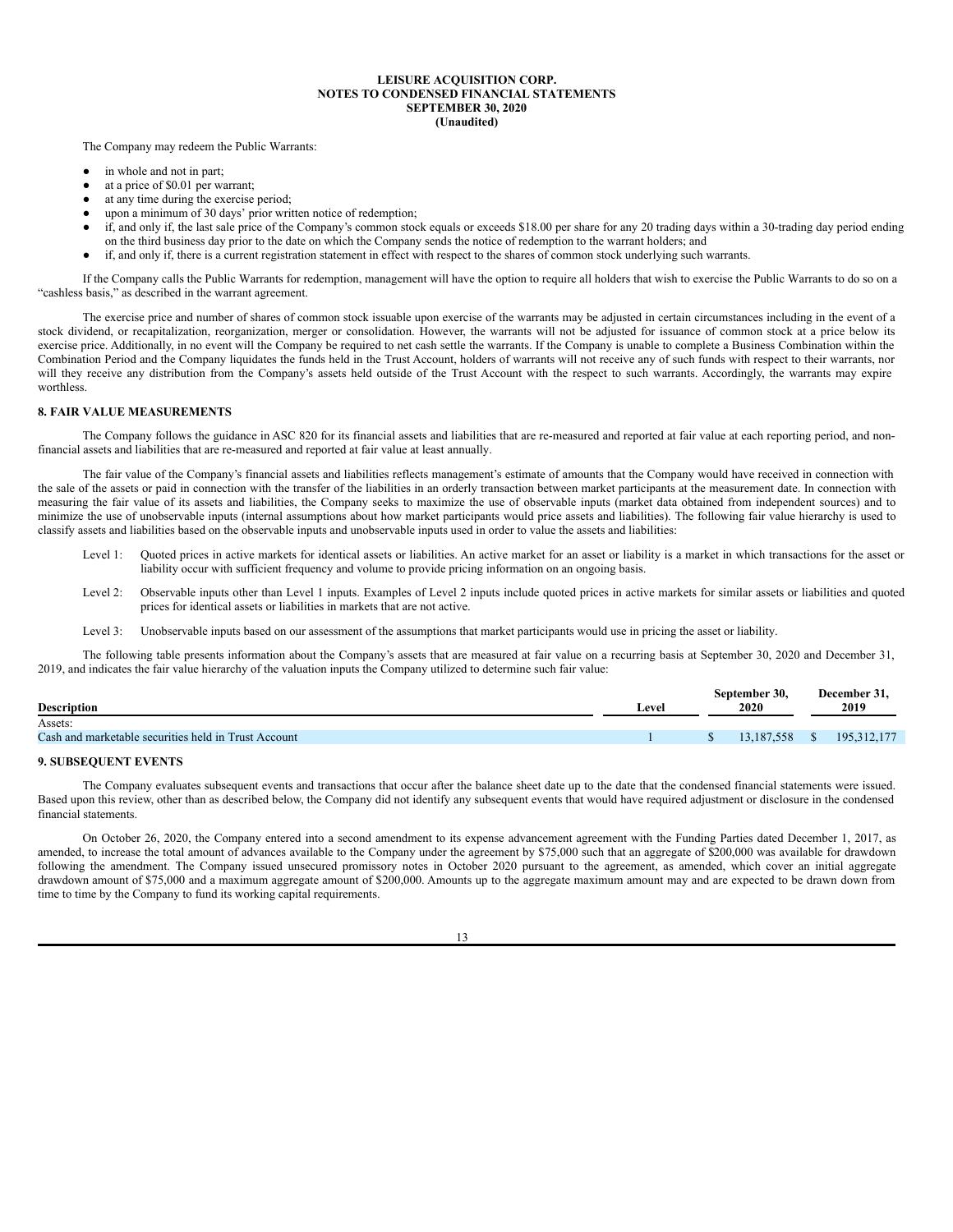The Company may redeem the Public Warrants:

- in whole and not in part;
- at a price of \$0.01 per warrant;
- at any time during the exercise period;
- upon a minimum of 30 days' prior written notice of redemption;
- if, and only if, the last sale price of the Company's common stock equals or exceeds \$18.00 per share for any 20 trading days within a 30-trading day period ending on the third business day prior to the date on which the Company sends the notice of redemption to the warrant holders; and
- if, and only if, there is a current registration statement in effect with respect to the shares of common stock underlying such warrants.

If the Company calls the Public Warrants for redemption, management will have the option to require all holders that wish to exercise the Public Warrants to do so on a "cashless basis," as described in the warrant agreement.

The exercise price and number of shares of common stock issuable upon exercise of the warrants may be adjusted in certain circumstances including in the event of a stock dividend, or recapitalization, reorganization, merger or consolidation. However, the warrants will not be adjusted for issuance of common stock at a price below its exercise price. Additionally, in no event will the Company be required to net cash settle the warrants. If the Company is unable to complete a Business Combination within the Combination Period and the Company liquidates the funds held in the Trust Account, holders of warrants will not receive any of such funds with respect to their warrants, nor will they receive any distribution from the Company's assets held outside of the Trust Account with the respect to such warrants. Accordingly, the warrants may expire worthless.

### **8. FAIR VALUE MEASUREMENTS**

The Company follows the guidance in ASC 820 for its financial assets and liabilities that are re-measured and reported at fair value at each reporting period, and nonfinancial assets and liabilities that are re-measured and reported at fair value at least annually.

The fair value of the Company's financial assets and liabilities reflects management's estimate of amounts that the Company would have received in connection with the sale of the assets or paid in connection with the transfer of the liabilities in an orderly transaction between market participants at the measurement date. In connection with measuring the fair value of its assets and liabilities, the Company seeks to maximize the use of observable inputs (market data obtained from independent sources) and to minimize the use of unobservable inputs (internal assumptions about how market participants would price assets and liabilities). The following fair value hierarchy is used to classify assets and liabilities based on the observable inputs and unobservable inputs used in order to value the assets and liabilities:

- Level 1: Quoted prices in active markets for identical assets or liabilities. An active market for an asset or liability is a market in which transactions for the asset or liability occur with sufficient frequency and volume to provide pricing information on an ongoing basis.
- Level 2: Observable inputs other than Level 1 inputs. Examples of Level 2 inputs include quoted prices in active markets for similar assets or liabilities and quoted prices for identical assets or liabilities in markets that are not active.
- Level 3: Unobservable inputs based on our assessment of the assumptions that market participants would use in pricing the asset or liability.

The following table presents information about the Company's assets that are measured at fair value on a recurring basis at September 30, 2020 and December 31, 2019, and indicates the fair value hierarchy of the valuation inputs the Company utilized to determine such fair value:

| <b>Description</b>                                   | Level | September 30,<br>2020 | December 31,<br>2019 |
|------------------------------------------------------|-------|-----------------------|----------------------|
| Assets:                                              |       |                       |                      |
| Cash and marketable securities held in Trust Account |       | 13.187.558            | 195, 312, 177        |
|                                                      |       |                       |                      |

# **9. SUBSEQUENT EVENTS**

The Company evaluates subsequent events and transactions that occur after the balance sheet date up to the date that the condensed financial statements were issued. Based upon this review, other than as described below, the Company did not identify any subsequent events that would have required adjustment or disclosure in the condensed financial statements.

On October 26, 2020, the Company entered into a second amendment to its expense advancement agreement with the Funding Parties dated December 1, 2017, as amended, to increase the total amount of advances available to the Company under the agreement by \$75,000 such that an aggregate of \$200,000 was available for drawdown following the amendment. The Company issued unsecured promissory notes in October 2020 pursuant to the agreement, as amended, which cover an initial aggregate drawdown amount of \$75,000 and a maximum aggregate amount of \$200,000. Amounts up to the aggregate maximum amount may and are expected to be drawn down from time to time by the Company to fund its working capital requirements.

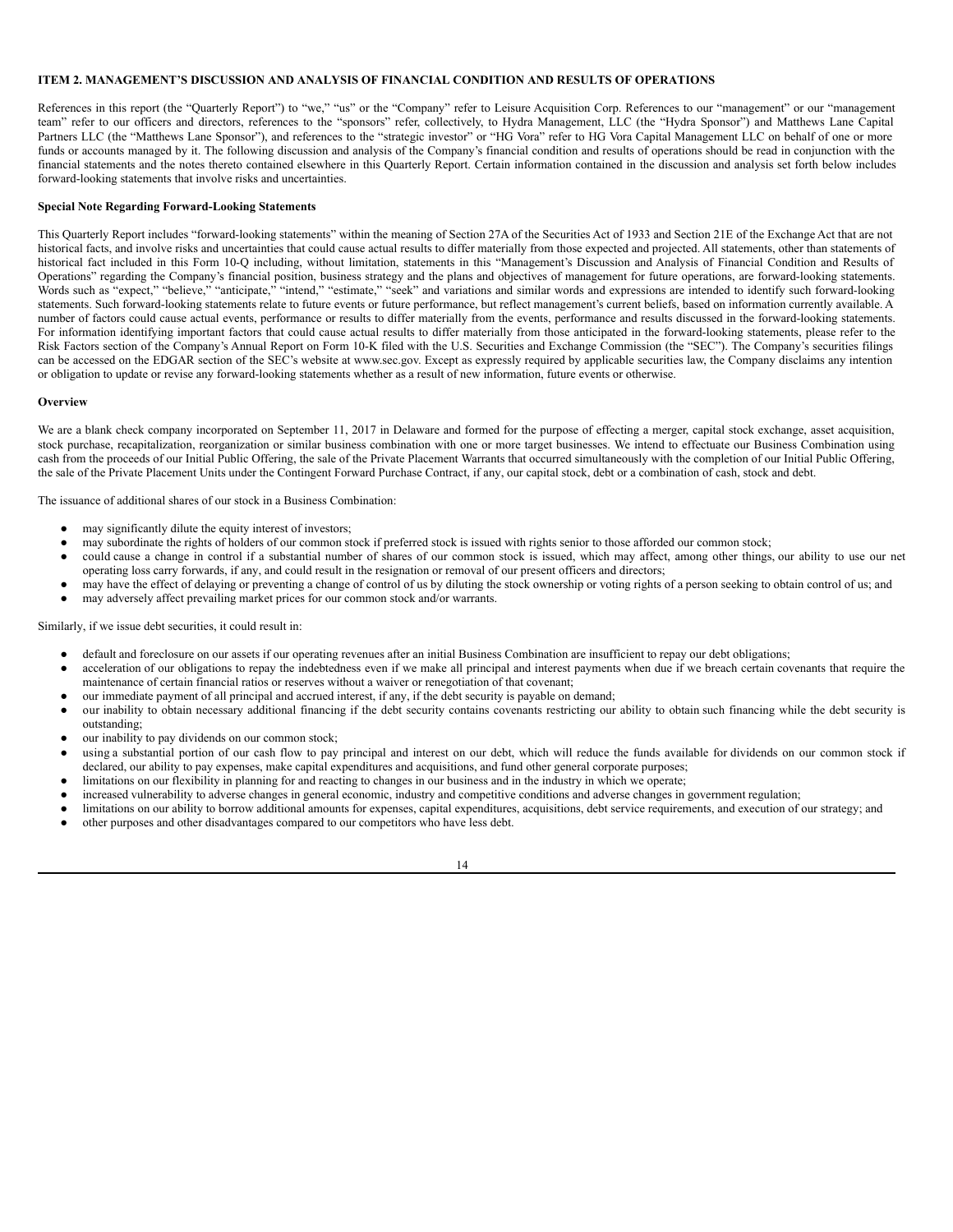### **ITEM 2. MANAGEMENT'S DISCUSSION AND ANALYSIS OF FINANCIAL CONDITION AND RESULTS OF OPERATIONS**

References in this report (the "Quarterly Report") to "we," "us" or the "Company" refer to Leisure Acquisition Corp. References to our "management" or our "management team" refer to our officers and directors, references to the "sponsors" refer, collectively, to Hydra Management, LLC (the "Hydra Sponsor") and Matthews Lane Capital Partners LLC (the "Matthews Lane Sponsor"), and references to the "strategic investor" or "HG Vora" refer to HG Vora Capital Management LLC on behalf of one or more funds or accounts managed by it. The following discussion and analysis of the Company's financial condition and results of operations should be read in conjunction with the financial statements and the notes thereto contained elsewhere in this Quarterly Report. Certain information contained in the discussion and analysis set forth below includes forward-looking statements that involve risks and uncertainties.

### **Special Note Regarding Forward-Looking Statements**

This Quarterly Report includes "forward-looking statements" within the meaning of Section 27A of the Securities Act of 1933 and Section 21E of the Exchange Act that are not historical facts, and involve risks and uncertainties that could cause actual results to differ materially from those expected and projected. All statements, other than statements of historical fact included in this Form 10-Q including, without limitation, statements in this "Management's Discussion and Analysis of Financial Condition and Results of Operations" regarding the Company's financial position, business strategy and the plans and objectives of management for future operations, are forward-looking statements. Words such as "expect," "believe," "anticipate," "intend," "estimate," "seek" and variations and similar words and expressions are intended to identify such forward-looking statements. Such forward-looking statements relate to future events or future performance, but reflect management's current beliefs, based on information currently available. A number of factors could cause actual events, performance or results to differ materially from the events, performance and results discussed in the forward-looking statements. For information identifying important factors that could cause actual results to differ materially from those anticipated in the forward-looking statements, please refer to the Risk Factors section of the Company's Annual Report on Form 10-K filed with the U.S. Securities and Exchange Commission (the "SEC"). The Company's securities filings can be accessed on the EDGAR section of the SEC's website at www.sec.gov. Except as expressly required by applicable securities law, the Company disclaims any intention or obligation to update or revise any forward-looking statements whether as a result of new information, future events or otherwise.

### **Overview**

We are a blank check company incorporated on September 11, 2017 in Delaware and formed for the purpose of effecting a merger, capital stock exchange, asset acquisition, stock purchase, recapitalization, reorganization or similar business combination with one or more target businesses. We intend to effectuate our Business Combination using cash from the proceeds of our Initial Public Offering, the sale of the Private Placement Warrants that occurred simultaneously with the completion of our Initial Public Offering, the sale of the Private Placement Units under the Contingent Forward Purchase Contract, if any, our capital stock, debt or a combination of cash, stock and debt.

The issuance of additional shares of our stock in a Business Combination:

- may significantly dilute the equity interest of investors;
- may subordinate the rights of holders of our common stock if preferred stock is issued with rights senior to those afforded our common stock;
- could cause a change in control if a substantial number of shares of our common stock is issued, which may affect, among other things, our ability to use our net operating loss carry forwards, if any, and could result in the resignation or removal of our present officers and directors;
- may have the effect of delaying or preventing a change of control of us by diluting the stock ownership or voting rights of a person seeking to obtain control of us; and
- may adversely affect prevailing market prices for our common stock and/or warrants.

Similarly, if we issue debt securities, it could result in:

- default and foreclosure on our assets if our operating revenues after an initial Business Combination are insufficient to repay our debt obligations;
- acceleration of our obligations to repay the indebtedness even if we make all principal and interest payments when due if we breach certain covenants that require the maintenance of certain financial ratios or reserves without a waiver or renegotiation of that covenant;
- our immediate payment of all principal and accrued interest, if any, if the debt security is payable on demand;
- our inability to obtain necessary additional financing if the debt security contains covenants restricting our ability to obtain such financing while the debt security is outstanding;
- our inability to pay dividends on our common stock;
- using a substantial portion of our cash flow to pay principal and interest on our debt, which will reduce the funds available for dividends on our common stock if declared, our ability to pay expenses, make capital expenditures and acquisitions, and fund other general corporate purposes;
- limitations on our flexibility in planning for and reacting to changes in our business and in the industry in which we operate;
- increased vulnerability to adverse changes in general economic, industry and competitive conditions and adverse changes in government regulation;
- limitations on our ability to borrow additional amounts for expenses, capital expenditures, acquisitions, debt service requirements, and execution of our strategy; and other purposes and other disadvantages compared to our competitors who have less debt.
-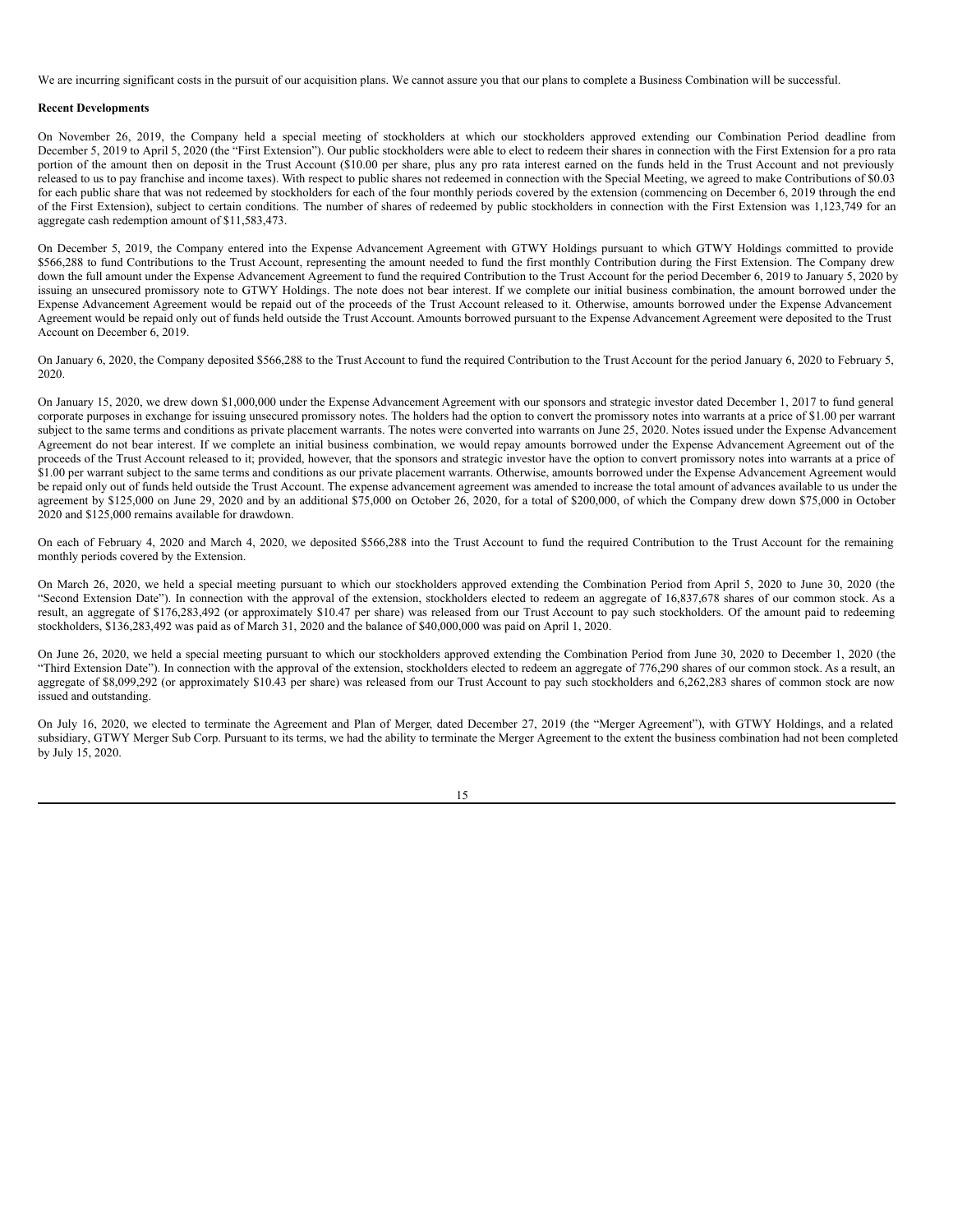We are incurring significant costs in the pursuit of our acquisition plans. We cannot assure you that our plans to complete a Business Combination will be successful.

### **Recent Developments**

On November 26, 2019, the Company held a special meeting of stockholders at which our stockholders approved extending our Combination Period deadline from December 5, 2019 to April 5, 2020 (the "First Extension"). Our public stockholders were able to elect to redeem their shares in connection with the First Extension for a pro rata portion of the amount then on deposit in the Trust Account (\$10.00 per share, plus any pro rata interest earned on the funds held in the Trust Account and not previously released to us to pay franchise and income taxes). With respect to public shares not redeemed in connection with the Special Meeting, we agreed to make Contributions of \$0.03 for each public share that was not redeemed by stockholders for each of the four monthly periods covered by the extension (commencing on December 6, 2019 through the end of the First Extension), subject to certain conditions. The number of shares of redeemed by public stockholders in connection with the First Extension was 1,123,749 for an aggregate cash redemption amount of \$11,583,473.

On December 5, 2019, the Company entered into the Expense Advancement Agreement with GTWY Holdings pursuant to which GTWY Holdings committed to provide \$566,288 to fund Contributions to the Trust Account, representing the amount needed to fund the first monthly Contribution during the First Extension. The Company drew down the full amount under the Expense Advancement Agreement to fund the required Contribution to the Trust Account for the period December 6, 2019 to January 5, 2020 by issuing an unsecured promissory note to GTWY Holdings. The note does not bear interest. If we complete our initial business combination, the amount borrowed under the Expense Advancement Agreement would be repaid out of the proceeds of the Trust Account released to it. Otherwise, amounts borrowed under the Expense Advancement Agreement would be repaid only out of funds held outside the Trust Account. Amounts borrowed pursuant to the Expense Advancement Agreement were deposited to the Trust Account on December 6, 2019.

On January 6, 2020, the Company deposited \$566,288 to the Trust Account to fund the required Contribution to the Trust Account for the period January 6, 2020 to February 5, 2020.

On January 15, 2020, we drew down \$1,000,000 under the Expense Advancement Agreement with our sponsors and strategic investor dated December 1, 2017 to fund general corporate purposes in exchange for issuing unsecured promissory notes. The holders had the option to convert the promissory notes into warrants at a price of \$1.00 per warrant subject to the same terms and conditions as private placement warrants. The notes were converted into warrants on June 25, 2020. Notes issued under the Expense Advancement Agreement do not bear interest. If we complete an initial business combination, we would repay amounts borrowed under the Expense Advancement Agreement out of the proceeds of the Trust Account released to it; provided, however, that the sponsors and strategic investor have the option to convert promissory notes into warrants at a price of \$1.00 per warrant subject to the same terms and conditions as our private placement warrants. Otherwise, amounts borrowed under the Expense Advancement Agreement would be repaid only out of funds held outside the Trust Account. The expense advancement agreement was amended to increase the total amount of advances available to us under the agreement by \$125,000 on June 29, 2020 and by an additional \$75,000 on October 26, 2020, for a total of \$200,000, of which the Company drew down \$75,000 in October 2020 and \$125,000 remains available for drawdown.

On each of February 4, 2020 and March 4, 2020, we deposited \$566,288 into the Trust Account to fund the required Contribution to the Trust Account for the remaining monthly periods covered by the Extension.

On March 26, 2020, we held a special meeting pursuant to which our stockholders approved extending the Combination Period from April 5, 2020 to June 30, 2020 (the "Second Extension Date"). In connection with the approval of the extension, stockholders elected to redeem an aggregate of 16,837,678 shares of our common stock. As a result, an aggregate of \$176,283,492 (or approximately \$10.47 per share) was released from our Trust Account to pay such stockholders. Of the amount paid to redeeming stockholders, \$136,283,492 was paid as of March 31, 2020 and the balance of \$40,000,000 was paid on April 1, 2020.

On June 26, 2020, we held a special meeting pursuant to which our stockholders approved extending the Combination Period from June 30, 2020 to December 1, 2020 (the "Third Extension Date"). In connection with the approval of the extension, stockholders elected to redeem an aggregate of 776,290 shares of our common stock. As a result, an aggregate of \$8,099,292 (or approximately \$10.43 per share) was released from our Trust Account to pay such stockholders and 6,262,283 shares of common stock are now issued and outstanding.

On July 16, 2020, we elected to terminate the Agreement and Plan of Merger, dated December 27, 2019 (the "Merger Agreement"), with GTWY Holdings, and a related subsidiary, GTWY Merger Sub Corp. Pursuant to its terms, we had the ability to terminate the Merger Agreement to the extent the business combination had not been completed by July 15, 2020.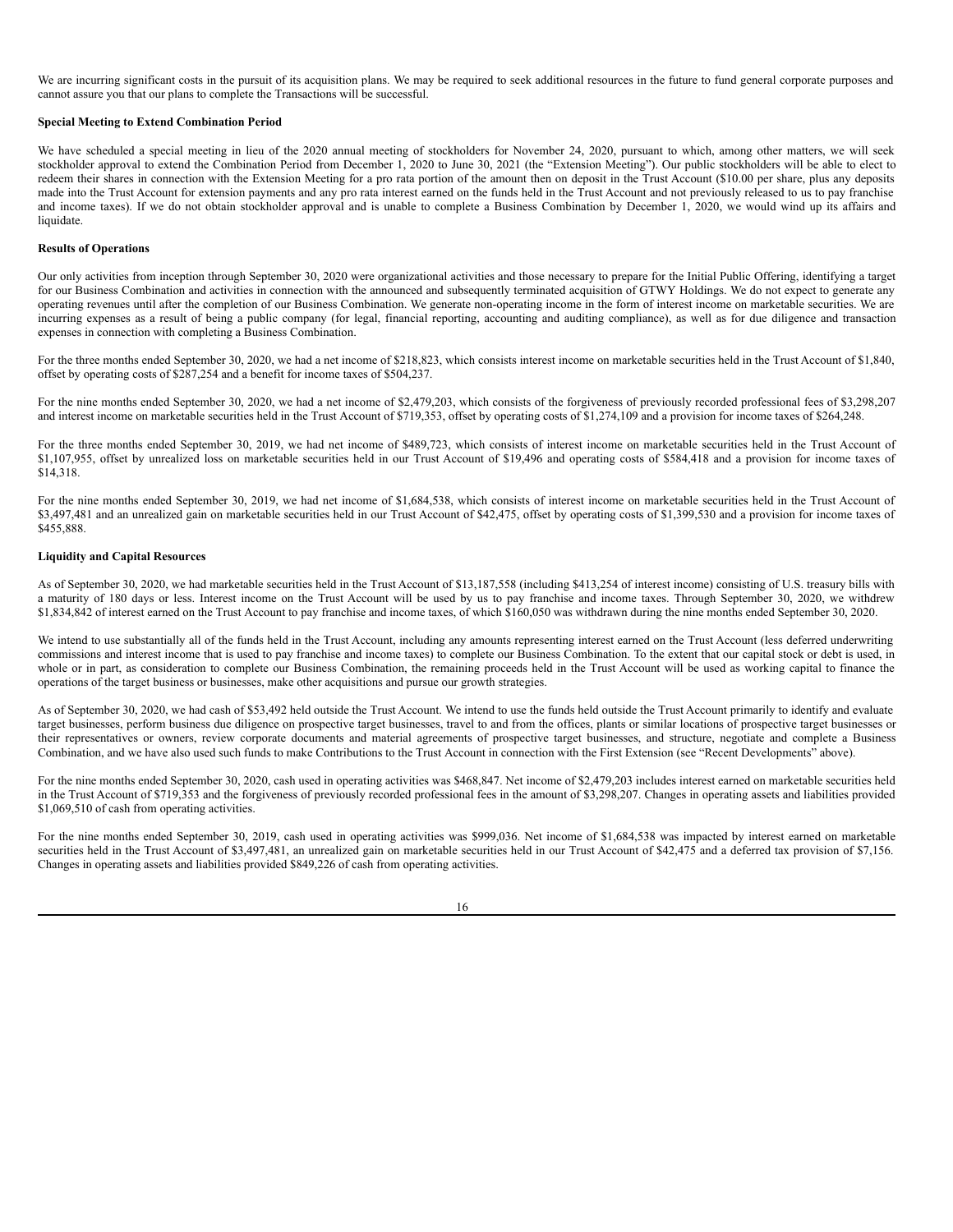We are incurring significant costs in the pursuit of its acquisition plans. We may be required to seek additional resources in the future to fund general corporate purposes and cannot assure you that our plans to complete the Transactions will be successful.

### **Special Meeting to Extend Combination Period**

We have scheduled a special meeting in lieu of the 2020 annual meeting of stockholders for November 24, 2020, pursuant to which, among other matters, we will seek stockholder approval to extend the Combination Period from December 1, 2020 to June 30, 2021 (the "Extension Meeting"). Our public stockholders will be able to elect to redeem their shares in connection with the Extension Meeting for a pro rata portion of the amount then on deposit in the Trust Account (\$10.00 per share, plus any deposits made into the Trust Account for extension payments and any pro rata interest earned on the funds held in the Trust Account and not previously released to us to pay franchise and income taxes). If we do not obtain stockholder approval and is unable to complete a Business Combination by December 1, 2020, we would wind up its affairs and liquidate.

### **Results of Operations**

Our only activities from inception through September 30, 2020 were organizational activities and those necessary to prepare for the Initial Public Offering, identifying a target for our Business Combination and activities in connection with the announced and subsequently terminated acquisition of GTWY Holdings. We do not expect to generate any operating revenues until after the completion of our Business Combination. We generate non-operating income in the form of interest income on marketable securities. We are incurring expenses as a result of being a public company (for legal, financial reporting, accounting and auditing compliance), as well as for due diligence and transaction expenses in connection with completing a Business Combination.

For the three months ended September 30, 2020, we had a net income of \$218,823, which consists interest income on marketable securities held in the Trust Account of \$1,840, offset by operating costs of \$287,254 and a benefit for income taxes of \$504,237.

For the nine months ended September 30, 2020, we had a net income of \$2,479,203, which consists of the forgiveness of previously recorded professional fees of \$3,298,207 and interest income on marketable securities held in the Trust Account of \$719,353, offset by operating costs of \$1,274,109 and a provision for income taxes of \$264,248.

For the three months ended September 30, 2019, we had net income of \$489,723, which consists of interest income on marketable securities held in the Trust Account of \$1,107,955, offset by unrealized loss on marketable securities held in our Trust Account of \$19,496 and operating costs of \$584,418 and a provision for income taxes of \$14,318.

For the nine months ended September 30, 2019, we had net income of \$1,684,538, which consists of interest income on marketable securities held in the Trust Account of \$3,497,481 and an unrealized gain on marketable securities held in our Trust Account of \$42,475, offset by operating costs of \$1,399,530 and a provision for income taxes of \$455,888.

### **Liquidity and Capital Resources**

As of September 30, 2020, we had marketable securities held in the Trust Account of \$13,187,558 (including \$413,254 of interest income) consisting of U.S. treasury bills with a maturity of 180 days or less. Interest income on the Trust Account will be used by us to pay franchise and income taxes. Through September 30, 2020, we withdrew \$1,834,842 of interest earned on the Trust Account to pay franchise and income taxes, of which \$160,050 was withdrawn during the nine months ended September 30, 2020.

We intend to use substantially all of the funds held in the Trust Account, including any amounts representing interest earned on the Trust Account (less deferred underwriting commissions and interest income that is used to pay franchise and income taxes) to complete our Business Combination. To the extent that our capital stock or debt is used, in whole or in part, as consideration to complete our Business Combination, the remaining proceeds held in the Trust Account will be used as working capital to finance the operations of the target business or businesses, make other acquisitions and pursue our growth strategies.

As of September 30, 2020, we had cash of \$53,492 held outside the Trust Account. We intend to use the funds held outside the Trust Account primarily to identify and evaluate target businesses, perform business due diligence on prospective target businesses, travel to and from the offices, plants or similar locations of prospective target businesses or their representatives or owners, review corporate documents and material agreements of prospective target businesses, and structure, negotiate and complete a Business Combination, and we have also used such funds to make Contributions to the Trust Account in connection with the First Extension (see "Recent Developments" above).

For the nine months ended September 30, 2020, cash used in operating activities was \$468,847. Net income of \$2,479,203 includes interest earned on marketable securities held in the Trust Account of \$719,353 and the forgiveness of previously recorded professional fees in the amount of \$3,298,207. Changes in operating assets and liabilities provided \$1,069,510 of cash from operating activities.

For the nine months ended September 30, 2019, cash used in operating activities was \$999,036. Net income of \$1,684,538 was impacted by interest earned on marketable securities held in the Trust Account of \$3,497,481, an unrealized gain on marketable securities held in our Trust Account of \$42,475 and a deferred tax provision of \$7,156. Changes in operating assets and liabilities provided \$849,226 of cash from operating activities.

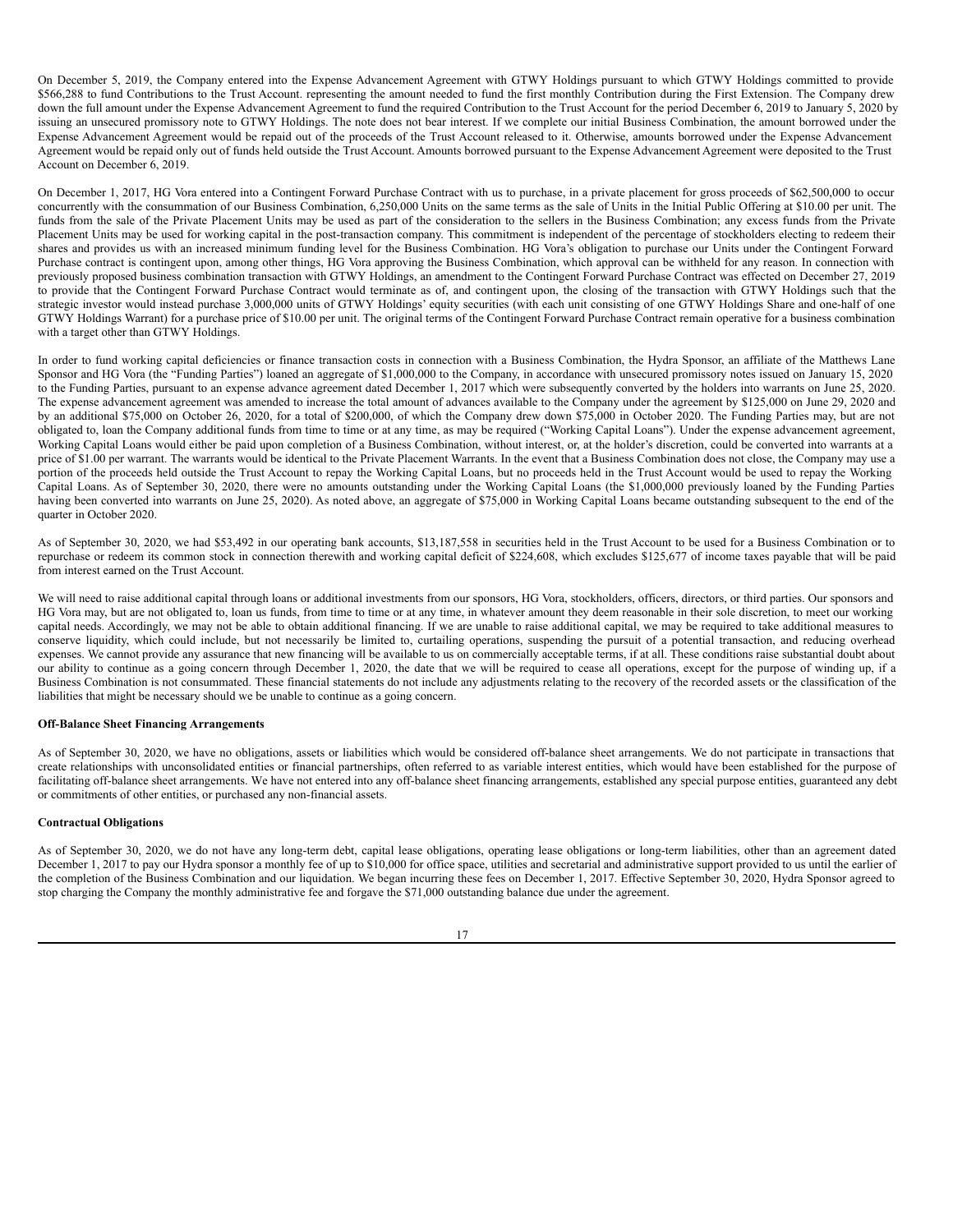On December 5, 2019, the Company entered into the Expense Advancement Agreement with GTWY Holdings pursuant to which GTWY Holdings committed to provide \$566,288 to fund Contributions to the Trust Account. representing the amount needed to fund the first monthly Contribution during the First Extension. The Company drew down the full amount under the Expense Advancement Agreement to fund the required Contribution to the Trust Account for the period December 6, 2019 to January 5, 2020 by issuing an unsecured promissory note to GTWY Holdings. The note does not bear interest. If we complete our initial Business Combination, the amount borrowed under the Expense Advancement Agreement would be repaid out of the proceeds of the Trust Account released to it. Otherwise, amounts borrowed under the Expense Advancement Agreement would be repaid only out of funds held outside the Trust Account. Amounts borrowed pursuant to the Expense Advancement Agreement were deposited to the Trust Account on December 6, 2019.

On December 1, 2017, HG Vora entered into a Contingent Forward Purchase Contract with us to purchase, in a private placement for gross proceeds of \$62,500,000 to occur concurrently with the consummation of our Business Combination, 6,250,000 Units on the same terms as the sale of Units in the Initial Public Offering at \$10.00 per unit. The funds from the sale of the Private Placement Units may be used as part of the consideration to the sellers in the Business Combination; any excess funds from the Private Placement Units may be used for working capital in the post-transaction company. This commitment is independent of the percentage of stockholders electing to redeem their shares and provides us with an increased minimum funding level for the Business Combination. HG Vora's obligation to purchase our Units under the Contingent Forward Purchase contract is contingent upon, among other things, HG Vora approving the Business Combination, which approval can be withheld for any reason. In connection with previously proposed business combination transaction with GTWY Holdings, an amendment to the Contingent Forward Purchase Contract was effected on December 27, 2019 to provide that the Contingent Forward Purchase Contract would terminate as of, and contingent upon, the closing of the transaction with GTWY Holdings such that the strategic investor would instead purchase 3,000,000 units of GTWY Holdings' equity securities (with each unit consisting of one GTWY Holdings Share and one-half of one GTWY Holdings Warrant) for a purchase price of \$10.00 per unit. The original terms of the Contingent Forward Purchase Contract remain operative for a business combination with a target other than GTWY Holdings.

In order to fund working capital deficiencies or finance transaction costs in connection with a Business Combination, the Hydra Sponsor, an affiliate of the Matthews Lane Sponsor and HG Vora (the "Funding Parties") loaned an aggregate of \$1,000,000 to the Company, in accordance with unsecured promissory notes issued on January 15, 2020 to the Funding Parties, pursuant to an expense advance agreement dated December 1, 2017 which were subsequently converted by the holders into warrants on June 25, 2020. The expense advancement agreement was amended to increase the total amount of advances available to the Company under the agreement by \$125,000 on June 29, 2020 and by an additional \$75,000 on October 26, 2020, for a total of \$200,000, of which the Company drew down \$75,000 in October 2020. The Funding Parties may, but are not obligated to, loan the Company additional funds from time to time or at any time, as may be required ("Working Capital Loans"). Under the expense advancement agreement, Working Capital Loans would either be paid upon completion of a Business Combination, without interest, or, at the holder's discretion, could be converted into warrants at a price of \$1.00 per warrant. The warrants would be identical to the Private Placement Warrants. In the event that a Business Combination does not close, the Company may use a portion of the proceeds held outside the Trust Account to repay the Working Capital Loans, but no proceeds held in the Trust Account would be used to repay the Working Capital Loans. As of September 30, 2020, there were no amounts outstanding under the Working Capital Loans (the \$1,000,000 previously loaned by the Funding Parties having been converted into warrants on June 25, 2020). As noted above, an aggregate of \$75,000 in Working Capital Loans became outstanding subsequent to the end of the quarter in October 2020.

As of September 30, 2020, we had \$53,492 in our operating bank accounts, \$13,187,558 in securities held in the Trust Account to be used for a Business Combination or to repurchase or redeem its common stock in connection therewith and working capital deficit of \$224,608, which excludes \$125,677 of income taxes payable that will be paid from interest earned on the Trust Account.

We will need to raise additional capital through loans or additional investments from our sponsors, HG Vora, stockholders, officers, directors, or third parties. Our sponsors and HG Vora may, but are not obligated to, loan us funds, from time to time or at any time, in whatever amount they deem reasonable in their sole discretion, to meet our working capital needs. Accordingly, we may not be able to obtain additional financing. If we are unable to raise additional capital, we may be required to take additional measures to conserve liquidity, which could include, but not necessarily be limited to, curtailing operations, suspending the pursuit of a potential transaction, and reducing overhead expenses. We cannot provide any assurance that new financing will be available to us on commercially acceptable terms, if at all. These conditions raise substantial doubt about our ability to continue as a going concern through December 1, 2020, the date that we will be required to cease all operations, except for the purpose of winding up, if a Business Combination is not consummated. These financial statements do not include any adjustments relating to the recovery of the recorded assets or the classification of the liabilities that might be necessary should we be unable to continue as a going concern.

### **Off-Balance Sheet Financing Arrangements**

As of September 30, 2020, we have no obligations, assets or liabilities which would be considered off-balance sheet arrangements. We do not participate in transactions that create relationships with unconsolidated entities or financial partnerships, often referred to as variable interest entities, which would have been established for the purpose of facilitating off-balance sheet arrangements. We have not entered into any off-balance sheet financing arrangements, established any special purpose entities, guaranteed any debt or commitments of other entities, or purchased any non-financial assets.

### **Contractual Obligations**

As of September 30, 2020, we do not have any long-term debt, capital lease obligations, operating lease obligations or long-term liabilities, other than an agreement dated December 1, 2017 to pay our Hydra sponsor a monthly fee of up to \$10,000 for office space, utilities and secretarial and administrative support provided to us until the earlier of the completion of the Business Combination and our liquidation. We began incurring these fees on December 1, 2017. Effective September 30, 2020, Hydra Sponsor agreed to stop charging the Company the monthly administrative fee and forgave the \$71,000 outstanding balance due under the agreement.

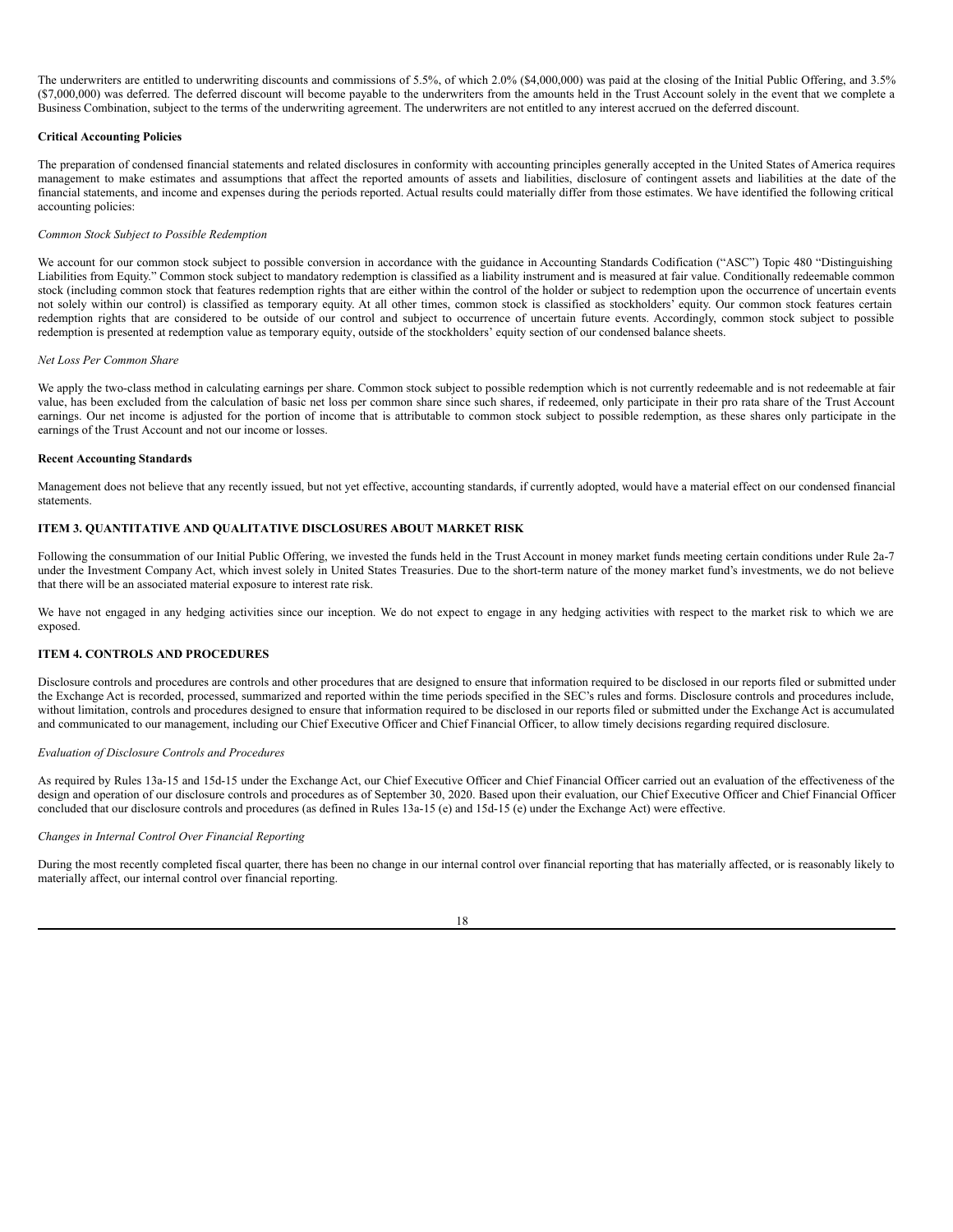The underwriters are entitled to underwriting discounts and commissions of 5.5%, of which 2.0% (\$4,000,000) was paid at the closing of the Initial Public Offering, and 3.5% (\$7,000,000) was deferred. The deferred discount will become payable to the underwriters from the amounts held in the Trust Account solely in the event that we complete a Business Combination, subject to the terms of the underwriting agreement. The underwriters are not entitled to any interest accrued on the deferred discount.

### **Critical Accounting Policies**

The preparation of condensed financial statements and related disclosures in conformity with accounting principles generally accepted in the United States of America requires management to make estimates and assumptions that affect the reported amounts of assets and liabilities, disclosure of contingent assets and liabilities at the date of the financial statements, and income and expenses during the periods reported. Actual results could materially differ from those estimates. We have identified the following critical accounting policies:

### *Common Stock Subject to Possible Redemption*

We account for our common stock subject to possible conversion in accordance with the guidance in Accounting Standards Codification ("ASC") Topic 480 "Distinguishing Liabilities from Equity." Common stock subject to mandatory redemption is classified as a liability instrument and is measured at fair value. Conditionally redeemable common stock (including common stock that features redemption rights that are either within the control of the holder or subject to redemption upon the occurrence of uncertain events not solely within our control) is classified as temporary equity. At all other times, common stock is classified as stockholders' equity. Our common stock features certain redemption rights that are considered to be outside of our control and subject to occurrence of uncertain future events. Accordingly, common stock subject to possible redemption is presented at redemption value as temporary equity, outside of the stockholders' equity section of our condensed balance sheets.

#### *Net Loss Per Common Share*

We apply the two-class method in calculating earnings per share. Common stock subject to possible redemption which is not currently redeemable and is not redeemable at fair value, has been excluded from the calculation of basic net loss per common share since such shares, if redeemed, only participate in their pro rata share of the Trust Account earnings. Our net income is adjusted for the portion of income that is attributable to common stock subject to possible redemption, as these shares only participate in the earnings of the Trust Account and not our income or losses.

#### **Recent Accounting Standards**

Management does not believe that any recently issued, but not yet effective, accounting standards, if currently adopted, would have a material effect on our condensed financial statements.

### **ITEM 3. QUANTITATIVE AND QUALITATIVE DISCLOSURES ABOUT MARKET RISK**

Following the consummation of our Initial Public Offering, we invested the funds held in the Trust Account in money market funds meeting certain conditions under Rule 2a-7 under the Investment Company Act, which invest solely in United States Treasuries. Due to the short-term nature of the money market fund's investments, we do not believe that there will be an associated material exposure to interest rate risk.

We have not engaged in any hedging activities since our inception. We do not expect to engage in any hedging activities with respect to the market risk to which we are exposed.

### **ITEM 4. CONTROLS AND PROCEDURES**

Disclosure controls and procedures are controls and other procedures that are designed to ensure that information required to be disclosed in our reports filed or submitted under the Exchange Act is recorded, processed, summarized and reported within the time periods specified in the SEC's rules and forms. Disclosure controls and procedures include, without limitation, controls and procedures designed to ensure that information required to be disclosed in our reports filed or submitted under the Exchange Act is accumulated and communicated to our management, including our Chief Executive Officer and Chief Financial Officer, to allow timely decisions regarding required disclosure.

### *Evaluation of Disclosure Controls and Procedures*

As required by Rules 13a-15 and 15d-15 under the Exchange Act, our Chief Executive Officer and Chief Financial Officer carried out an evaluation of the effectiveness of the design and operation of our disclosure controls and procedures as of September 30, 2020. Based upon their evaluation, our Chief Executive Officer and Chief Financial Officer concluded that our disclosure controls and procedures (as defined in Rules 13a-15 (e) and 15d-15 (e) under the Exchange Act) were effective.

### *Changes in Internal Control Over Financial Reporting*

During the most recently completed fiscal quarter, there has been no change in our internal control over financial reporting that has materially affected, or is reasonably likely to materially affect, our internal control over financial reporting.

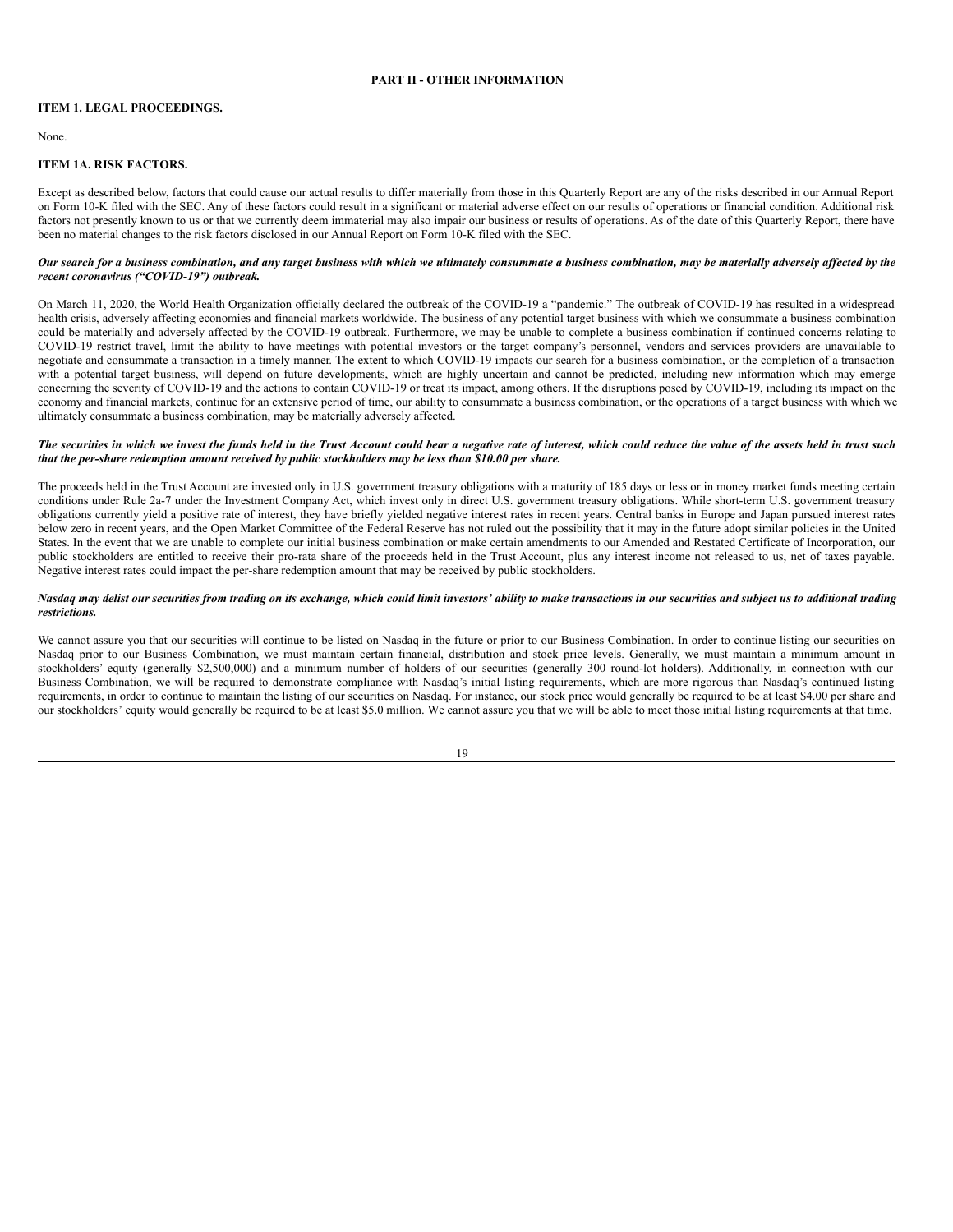### **PART II - OTHER INFORMATION**

### **ITEM 1. LEGAL PROCEEDINGS.**

### None.

### **ITEM 1A. RISK FACTORS.**

Except as described below, factors that could cause our actual results to differ materially from those in this Quarterly Report are any of the risks described in our Annual Report on Form 10-K filed with the SEC. Any of these factors could result in a significant or material adverse effect on our results of operations or financial condition. Additional risk factors not presently known to us or that we currently deem immaterial may also impair our business or results of operations. As of the date of this Quarterly Report, there have been no material changes to the risk factors disclosed in our Annual Report on Form 10-K filed with the SEC.

#### Our search for a business combination, and any target business with which we ultimately consummate a business combination, may be materially adversely affected by the *recent coronavirus ("COVID-19") outbreak.*

On March 11, 2020, the World Health Organization officially declared the outbreak of the COVID-19 a "pandemic." The outbreak of COVID-19 has resulted in a widespread health crisis, adversely affecting economies and financial markets worldwide. The business of any potential target business with which we consummate a business combination could be materially and adversely affected by the COVID-19 outbreak. Furthermore, we may be unable to complete a business combination if continued concerns relating to COVID-19 restrict travel, limit the ability to have meetings with potential investors or the target company's personnel, vendors and services providers are unavailable to negotiate and consummate a transaction in a timely manner. The extent to which COVID-19 impacts our search for a business combination, or the completion of a transaction with a potential target business, will depend on future developments, which are highly uncertain and cannot be predicted, including new information which may emerge concerning the severity of COVID-19 and the actions to contain COVID-19 or treat its impact, among others. If the disruptions posed by COVID-19, including its impact on the economy and financial markets, continue for an extensive period of time, our ability to consummate a business combination, or the operations of a target business with which we ultimately consummate a business combination, may be materially adversely affected.

### The securities in which we invest the funds held in the Trust Account could bear a negative rate of interest, which could reduce the value of the assets held in trust such *that the per-share redemption amount received by public stockholders may be less than \$10.00 per share.*

The proceeds held in the Trust Account are invested only in U.S. government treasury obligations with a maturity of 185 days or less or in money market funds meeting certain conditions under Rule 2a-7 under the Investment Company Act, which invest only in direct U.S. government treasury obligations. While short-term U.S. government treasury obligations currently yield a positive rate of interest, they have briefly yielded negative interest rates in recent years. Central banks in Europe and Japan pursued interest rates below zero in recent years, and the Open Market Committee of the Federal Reserve has not ruled out the possibility that it may in the future adopt similar policies in the United States. In the event that we are unable to complete our initial business combination or make certain amendments to our Amended and Restated Certificate of Incorporation, our public stockholders are entitled to receive their pro-rata share of the proceeds held in the Trust Account, plus any interest income not released to us, net of taxes payable. Negative interest rates could impact the per-share redemption amount that may be received by public stockholders.

### Nasdaq may delist our securities from trading on its exchange, which could limit investors' ability to make transactions in our securities and subject us to additional trading *restrictions.*

We cannot assure you that our securities will continue to be listed on Nasdaq in the future or prior to our Business Combination. In order to continue listing our securities on Nasdaq prior to our Business Combination, we must maintain certain financial, distribution and stock price levels. Generally, we must maintain a minimum amount in stockholders' equity (generally \$2,500,000) and a minimum number of holders of our securities (generally 300 round-lot holders). Additionally, in connection with our Business Combination, we will be required to demonstrate compliance with Nasdaq's initial listing requirements, which are more rigorous than Nasdaq's continued listing requirements, in order to continue to maintain the listing of our securities on Nasdaq. For instance, our stock price would generally be required to be at least \$4.00 per share and our stockholders' equity would generally be required to be at least \$5.0 million. We cannot assure you that we will be able to meet those initial listing requirements at that time.

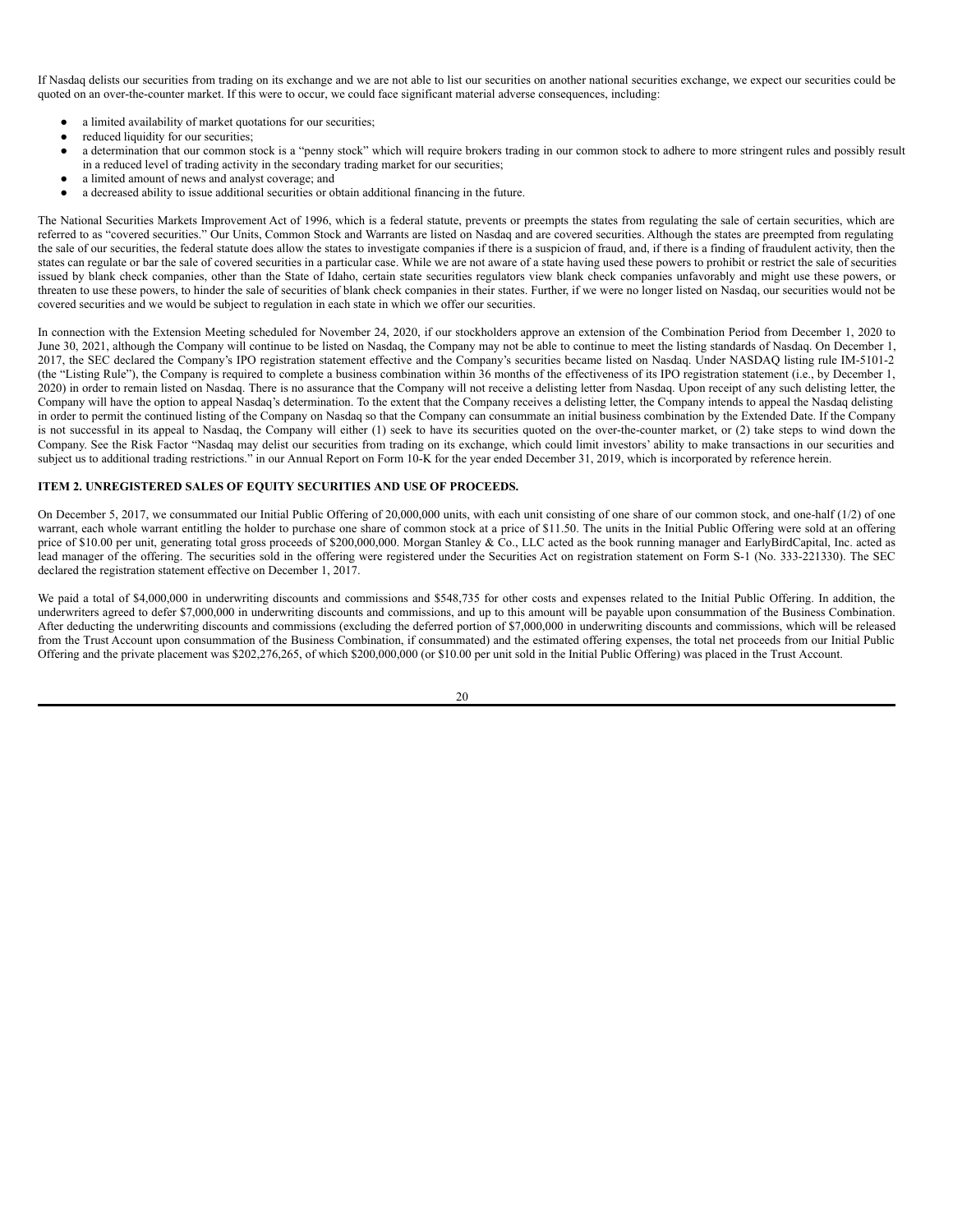If Nasdaq delists our securities from trading on its exchange and we are not able to list our securities on another national securities exchange, we expect our securities could be quoted on an over-the-counter market. If this were to occur, we could face significant material adverse consequences, including:

- a limited availability of market quotations for our securities;
- reduced liquidity for our securities;
- a determination that our common stock is a "penny stock" which will require brokers trading in our common stock to adhere to more stringent rules and possibly result in a reduced level of trading activity in the secondary trading market for our securities;
- a limited amount of news and analyst coverage; and
- a decreased ability to issue additional securities or obtain additional financing in the future.

The National Securities Markets Improvement Act of 1996, which is a federal statute, prevents or preempts the states from regulating the sale of certain securities, which are referred to as "covered securities." Our Units, Common Stock and Warrants are listed on Nasdaq and are covered securities. Although the states are preempted from regulating the sale of our securities, the federal statute does allow the states to investigate companies if there is a suspicion of fraud, and, if there is a finding of fraudulent activity, then the states can regulate or bar the sale of covered securities in a particular case. While we are not aware of a state having used these powers to prohibit or restrict the sale of securities issued by blank check companies, other than the State of Idaho, certain state securities regulators view blank check companies unfavorably and might use these powers, or threaten to use these powers, to hinder the sale of securities of blank check companies in their states. Further, if we were no longer listed on Nasdaq, our securities would not be covered securities and we would be subject to regulation in each state in which we offer our securities.

In connection with the Extension Meeting scheduled for November 24, 2020, if our stockholders approve an extension of the Combination Period from December 1, 2020 to June 30, 2021, although the Company will continue to be listed on Nasdaq, the Company may not be able to continue to meet the listing standards of Nasdaq. On December 1, 2017, the SEC declared the Company's IPO registration statement effective and the Company's securities became listed on Nasdaq. Under NASDAQ listing rule IM-5101-2 (the "Listing Rule"), the Company is required to complete a business combination within 36 months of the effectiveness of its IPO registration statement (i.e., by December 1, 2020) in order to remain listed on Nasdaq. There is no assurance that the Company will not receive a delisting letter from Nasdaq. Upon receipt of any such delisting letter, the Company will have the option to appeal Nasdaq's determination. To the extent that the Company receives a delisting letter, the Company intends to appeal the Nasdaq delisting in order to permit the continued listing of the Company on Nasdaq so that the Company can consummate an initial business combination by the Extended Date. If the Company is not successful in its appeal to Nasdaq, the Company will either (1) seek to have its securities quoted on the over-the-counter market, or (2) take steps to wind down the Company. See the Risk Factor "Nasdaq may delist our securities from trading on its exchange, which could limit investors' ability to make transactions in our securities and subject us to additional trading restrictions." in our Annual Report on Form 10-K for the year ended December 31, 2019, which is incorporated by reference herein.

### **ITEM 2. UNREGISTERED SALES OF EQUITY SECURITIES AND USE OF PROCEEDS.**

On December 5, 2017, we consummated our Initial Public Offering of 20,000,000 units, with each unit consisting of one share of our common stock, and one-half (1/2) of one warrant, each whole warrant entitling the holder to purchase one share of common stock at a price of \$11.50. The units in the Initial Public Offering were sold at an offering price of \$10.00 per unit, generating total gross proceeds of \$200,000,000. Morgan Stanley & Co., LLC acted as the book running manager and EarlyBirdCapital, Inc. acted as lead manager of the offering. The securities sold in the offering were registered under the Securities Act on registration statement on Form S-1 (No. 333-221330). The SEC declared the registration statement effective on December 1, 2017.

We paid a total of \$4,000,000 in underwriting discounts and commissions and \$548,735 for other costs and expenses related to the Initial Public Offering. In addition, the underwriters agreed to defer \$7,000,000 in underwriting discounts and commissions, and up to this amount will be payable upon consummation of the Business Combination. After deducting the underwriting discounts and commissions (excluding the deferred portion of \$7,000,000 in underwriting discounts and commissions, which will be released from the Trust Account upon consummation of the Business Combination, if consummated) and the estimated offering expenses, the total net proceeds from our Initial Public Offering and the private placement was \$202,276,265, of which \$200,000,000 (or \$10.00 per unit sold in the Initial Public Offering) was placed in the Trust Account.

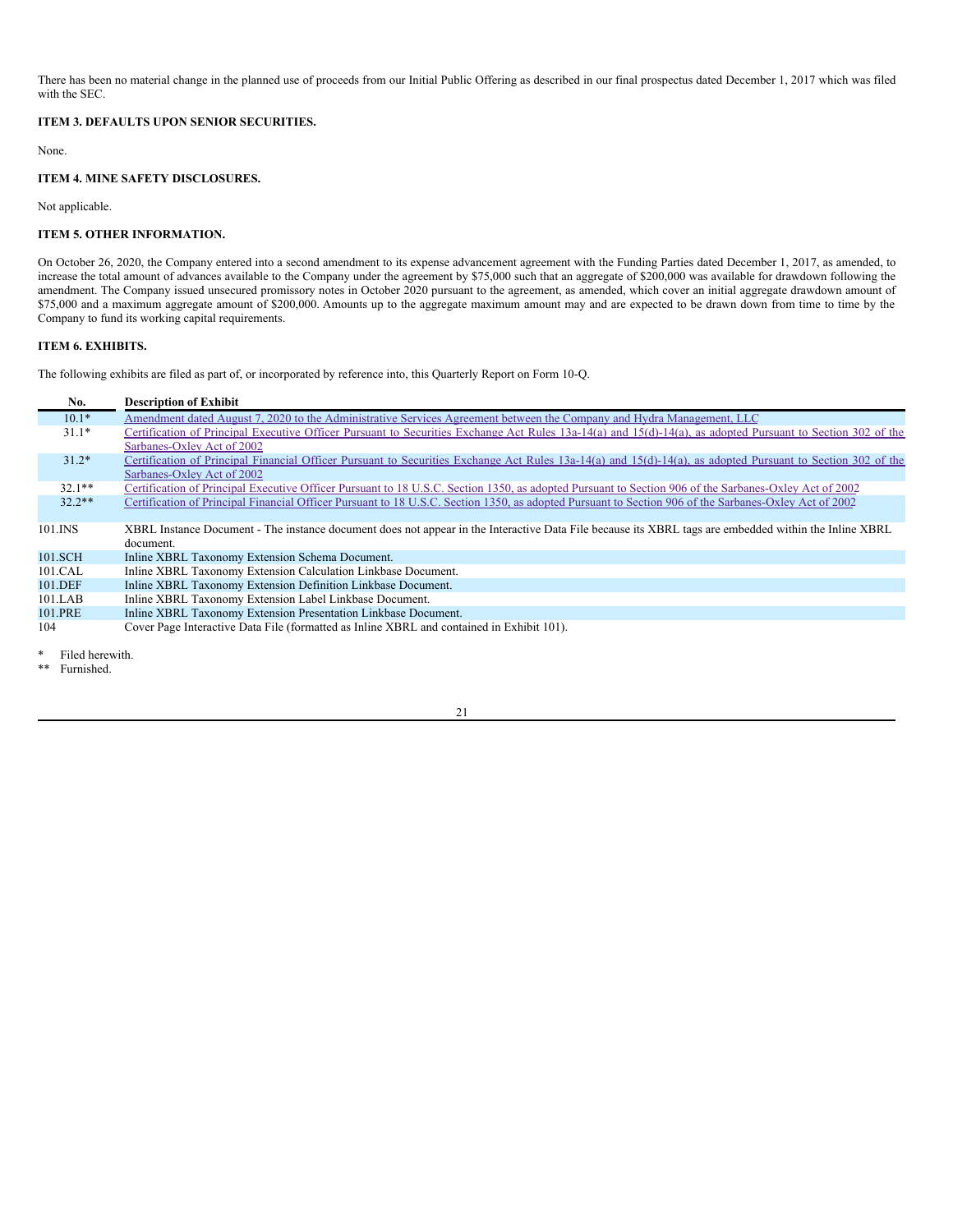There has been no material change in the planned use of proceeds from our Initial Public Offering as described in our final prospectus dated December 1, 2017 which was filed with the SEC.

# **ITEM 3. DEFAULTS UPON SENIOR SECURITIES.**

None.

### **ITEM 4. MINE SAFETY DISCLOSURES.**

Not applicable.

### **ITEM 5. OTHER INFORMATION.**

On October 26, 2020, the Company entered into a second amendment to its expense advancement agreement with the Funding Parties dated December 1, 2017, as amended, to increase the total amount of advances available to the Company under the agreement by \$75,000 such that an aggregate of \$200,000 was available for drawdown following the amendment. The Company issued unsecured promissory notes in October 2020 pursuant to the agreement, as amended, which cover an initial aggregate drawdown amount of \$75,000 and a maximum aggregate amount of \$200,000. Amounts up to the aggregate maximum amount may and are expected to be drawn down from time to time by the Company to fund its working capital requirements.

### **ITEM 6. EXHIBITS.**

The following exhibits are filed as part of, or incorporated by reference into, this Quarterly Report on Form 10-Q.

| No.      | <b>Description of Exhibit</b>                                                                                                                               |
|----------|-------------------------------------------------------------------------------------------------------------------------------------------------------------|
| $10.1*$  | Amendment dated August 7, 2020 to the Administrative Services Agreement between the Company and Hydra Management, LLC                                       |
| $31.1*$  | Certification of Principal Executive Officer Pursuant to Securities Exchange Act Rules 13a-14(a) and 15(d)-14(a), as adopted Pursuant to Section 302 of the |
|          | Sarbanes-Oxley Act of 2002                                                                                                                                  |
| $31.2*$  | Certification of Principal Financial Officer Pursuant to Securities Exchange Act Rules 13a-14(a) and 15(d)-14(a), as adopted Pursuant to Section 302 of the |
|          | Sarbanes-Oxley Act of 2002                                                                                                                                  |
| $32.1**$ | Certification of Principal Executive Officer Pursuant to 18 U.S.C. Section 1350, as adopted Pursuant to Section 906 of the Sarbanes-Oxley Act of 2002       |
| $32.2**$ | Certification of Principal Financial Officer Pursuant to 18 U.S.C. Section 1350, as adopted Pursuant to Section 906 of the Sarbanes-Oxley Act of 2002       |
|          |                                                                                                                                                             |
| 101.INS  | XBRL Instance Document - The instance document does not appear in the Interactive Data File because its XBRL tags are embedded within the Inline XBRL       |
|          | document.                                                                                                                                                   |
| 101.SCH  | Inline XBRL Taxonomy Extension Schema Document.                                                                                                             |
| 101.CAL  | Inline XBRL Taxonomy Extension Calculation Linkbase Document.                                                                                               |
| 101.DEF  | Inline XBRL Taxonomy Extension Definition Linkbase Document.                                                                                                |
| 101.LAB  | Inline XBRL Taxonomy Extension Label Linkbase Document.                                                                                                     |
| 101.PRE  | Inline XBRL Taxonomy Extension Presentation Linkbase Document.                                                                                              |
| 104      | Cover Page Interactive Data File (formatted as Inline XBRL and contained in Exhibit 101).                                                                   |
|          |                                                                                                                                                             |

Filed herewith.

\*\* Furnished.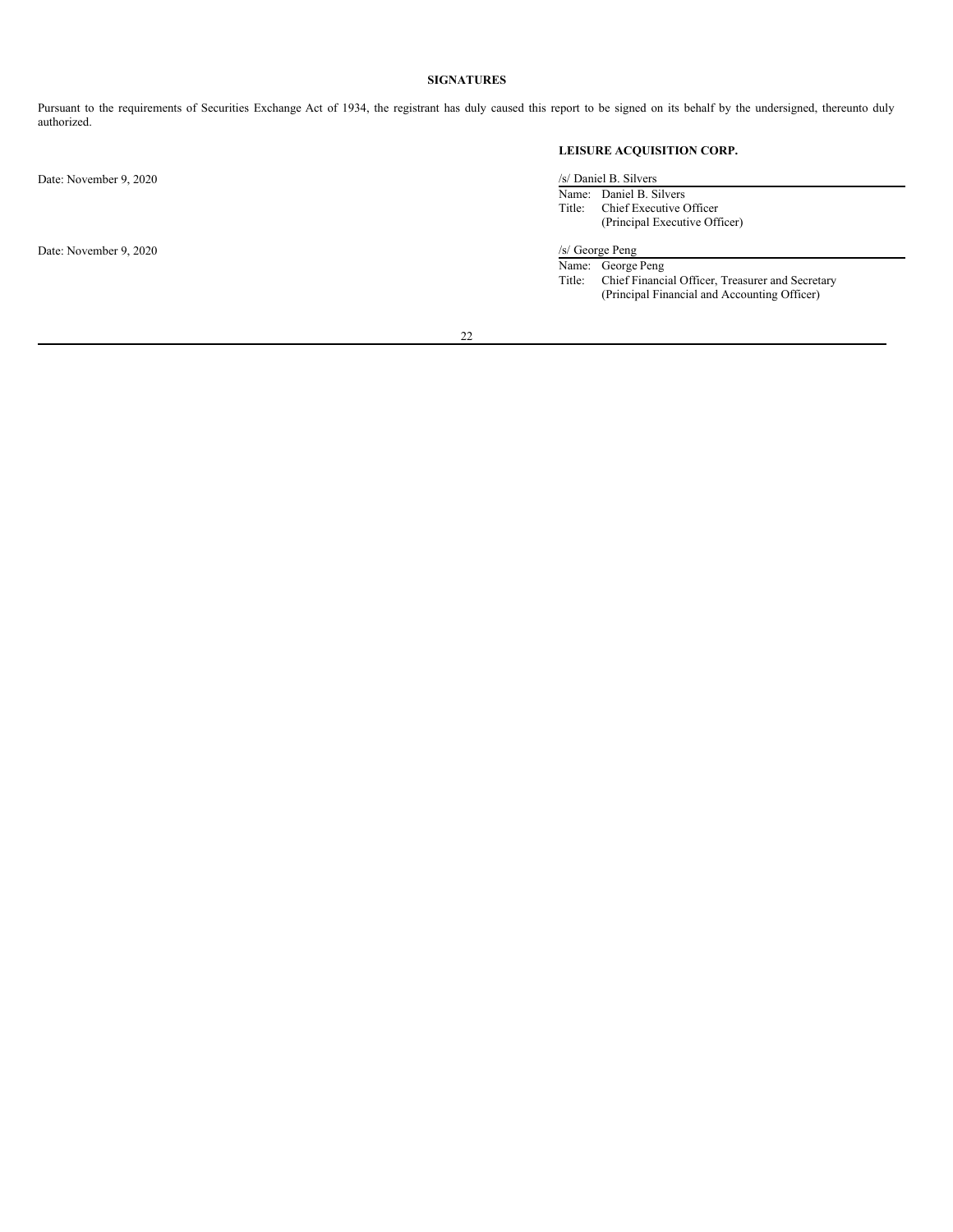# **SIGNATURES**

Pursuant to the requirements of Securities Exchange Act of 1934, the registrant has duly caused this report to be signed on its behalf by the undersigned, thereunto duly authorized.

Date: November 9, 2020 /s/ Daniel B. Silvers

Date: November 9, 2020 /s/ George Peng

# **LEISURE ACQUISITION CORP.**

Name: Daniel B. Silvers

Title: Chief Executive Officer (Principal Executive Officer)

Name: George Peng Title: Chief Financial Officer, Treasurer and Secretary (Principal Financial and Accounting Officer)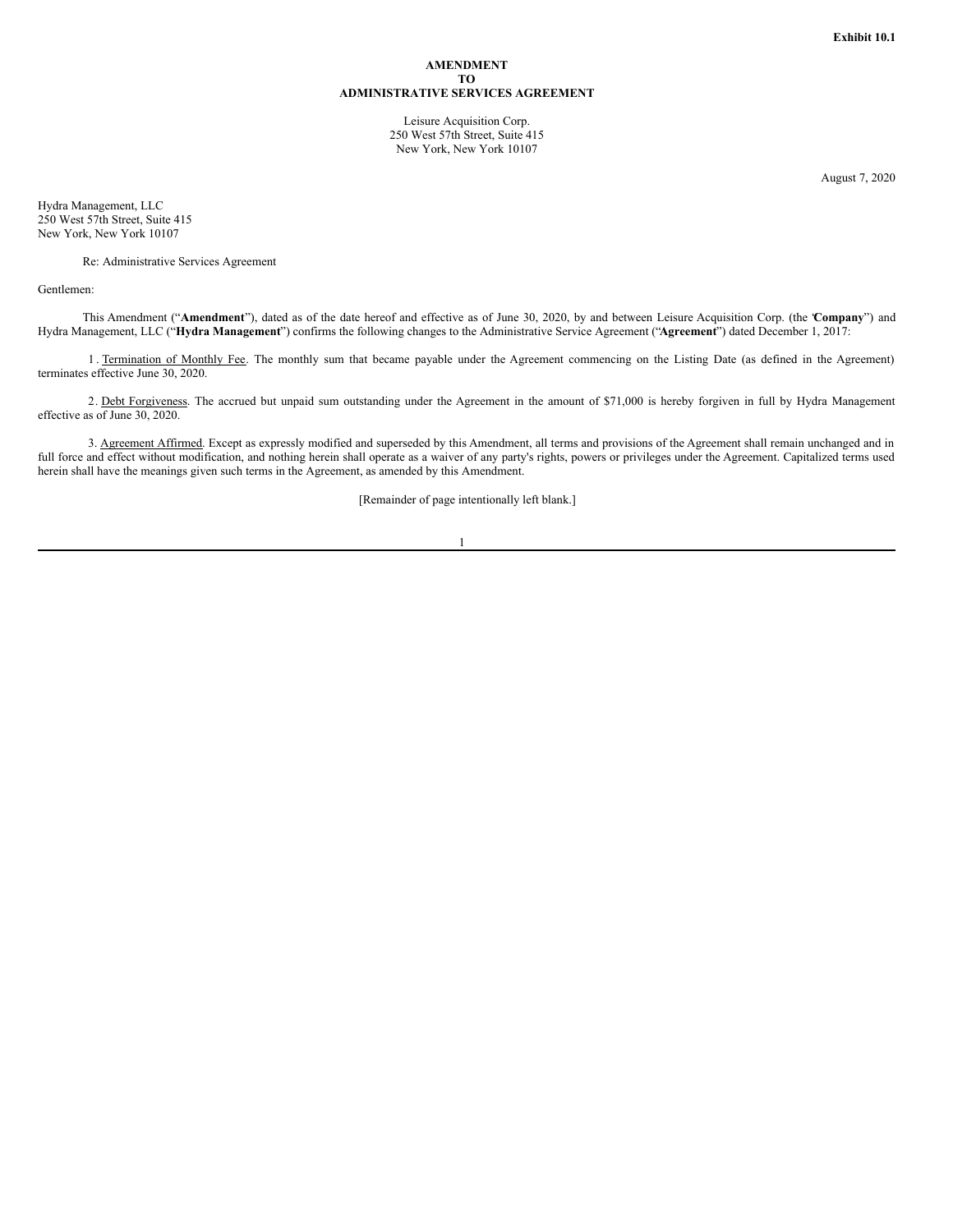### **AMENDMENT TO ADMINISTRATIVE SERVICES AGREEMENT**

Leisure Acquisition Corp. 250 West 57th Street, Suite 415 New York, New York 10107

August 7, 2020

<span id="page-24-0"></span>Hydra Management, LLC 250 West 57th Street, Suite 415 New York, New York 10107

Re: Administrative Services Agreement

Gentlemen:

This Amendment ("**Amendment**"), dated as of the date hereof and effective as of June 30, 2020, by and between Leisure Acquisition Corp. (the "**Company**") and Hydra Management, LLC ("**Hydra Management**") confirms the following changes to the Administrative Service Agreement ("**Agreement**") dated December 1, 2017:

1 . Termination of Monthly Fee. The monthly sum that became payable under the Agreement commencing on the Listing Date (as defined in the Agreement) terminates effective June 30, 2020.

2. Debt Forgiveness. The accrued but unpaid sum outstanding under the Agreement in the amount of \$71,000 is hereby forgiven in full by Hydra Management effective as of June 30, 2020.

3. Agreement Affirmed. Except as expressly modified and superseded by this Amendment, all terms and provisions of the Agreement shall remain unchanged and in full force and effect without modification, and nothing herein shall operate as a waiver of any party's rights, powers or privileges under the Agreement. Capitalized terms used herein shall have the meanings given such terms in the Agreement, as amended by this Amendment.

[Remainder of page intentionally left blank.]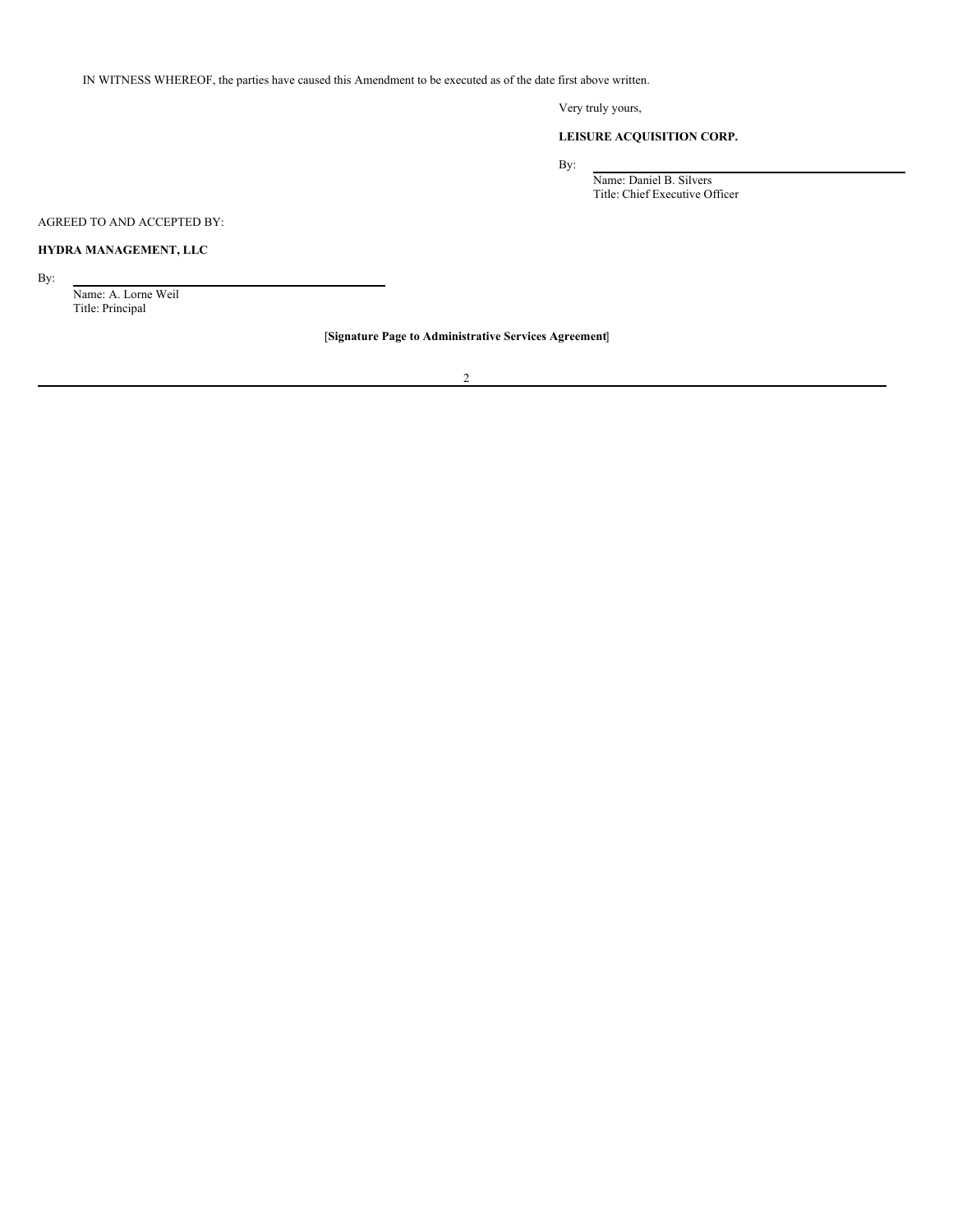IN WITNESS WHEREOF, the parties have caused this Amendment to be executed as of the date first above written.

Very truly yours,

# **LEISURE ACQUISITION CORP.**

By:

Name: Daniel B. Silvers Title: Chief Executive Officer

# AGREED TO AND ACCEPTED BY:

# **HYDRA MANAGEMENT, LLC**

By:

Name: A. Lorne Weil Title: Principal

[**Signature Page to Administrative Services Agreement**]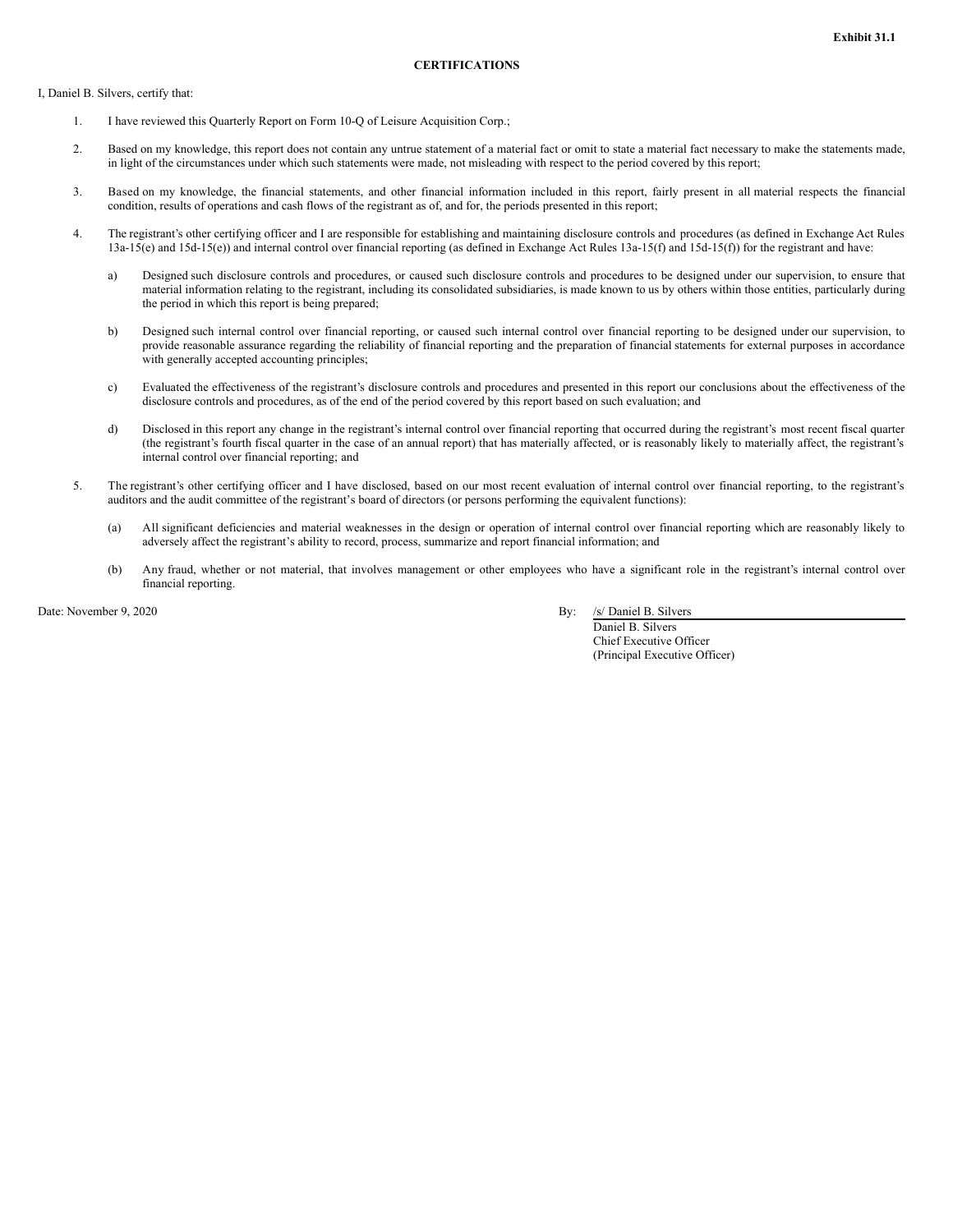<span id="page-26-0"></span>I, Daniel B. Silvers, certify that:

- 1. I have reviewed this Quarterly Report on Form 10-Q of Leisure Acquisition Corp.;
- 2. Based on my knowledge, this report does not contain any untrue statement of a material fact or omit to state a material fact necessary to make the statements made, in light of the circumstances under which such statements were made, not misleading with respect to the period covered by this report;
- 3. Based on my knowledge, the financial statements, and other financial information included in this report, fairly present in all material respects the financial condition, results of operations and cash flows of the registrant as of, and for, the periods presented in this report;
- 4. The registrant's other certifying officer and I are responsible for establishing and maintaining disclosure controls and procedures (as defined in Exchange Act Rules 13a-15(e) and 15d-15(e)) and internal control over financial reporting (as defined in Exchange Act Rules 13a-15(f) and 15d-15(f)) for the registrant and have:
	- a) Designed such disclosure controls and procedures, or caused such disclosure controls and procedures to be designed under our supervision, to ensure that material information relating to the registrant, including its consolidated subsidiaries, is made known to us by others within those entities, particularly during the period in which this report is being prepared;
	- b) Designed such internal control over financial reporting, or caused such internal control over financial reporting to be designed under our supervision, to provide reasonable assurance regarding the reliability of financial reporting and the preparation of financial statements for external purposes in accordance with generally accepted accounting principles;
	- c) Evaluated the effectiveness of the registrant's disclosure controls and procedures and presented in this report our conclusions about the effectiveness of the disclosure controls and procedures, as of the end of the period covered by this report based on such evaluation; and
	- d) Disclosed in this report any change in the registrant's internal control over financial reporting that occurred during the registrant's most recent fiscal quarter (the registrant's fourth fiscal quarter in the case of an annual report) that has materially affected, or is reasonably likely to materially affect, the registrant's internal control over financial reporting; and
- 5. The registrant's other certifying officer and I have disclosed, based on our most recent evaluation of internal control over financial reporting, to the registrant's auditors and the audit committee of the registrant's board of directors (or persons performing the equivalent functions):
	- (a) All significant deficiencies and material weaknesses in the design or operation of internal control over financial reporting which are reasonably likely to adversely affect the registrant's ability to record, process, summarize and report financial information; and
	- (b) Any fraud, whether or not material, that involves management or other employees who have a significant role in the registrant's internal control over financial reporting.

Date: November 9, 2020 By: /s/ Daniel B. Silvers

Daniel B. Silvers Chief Executive Officer (Principal Executive Officer)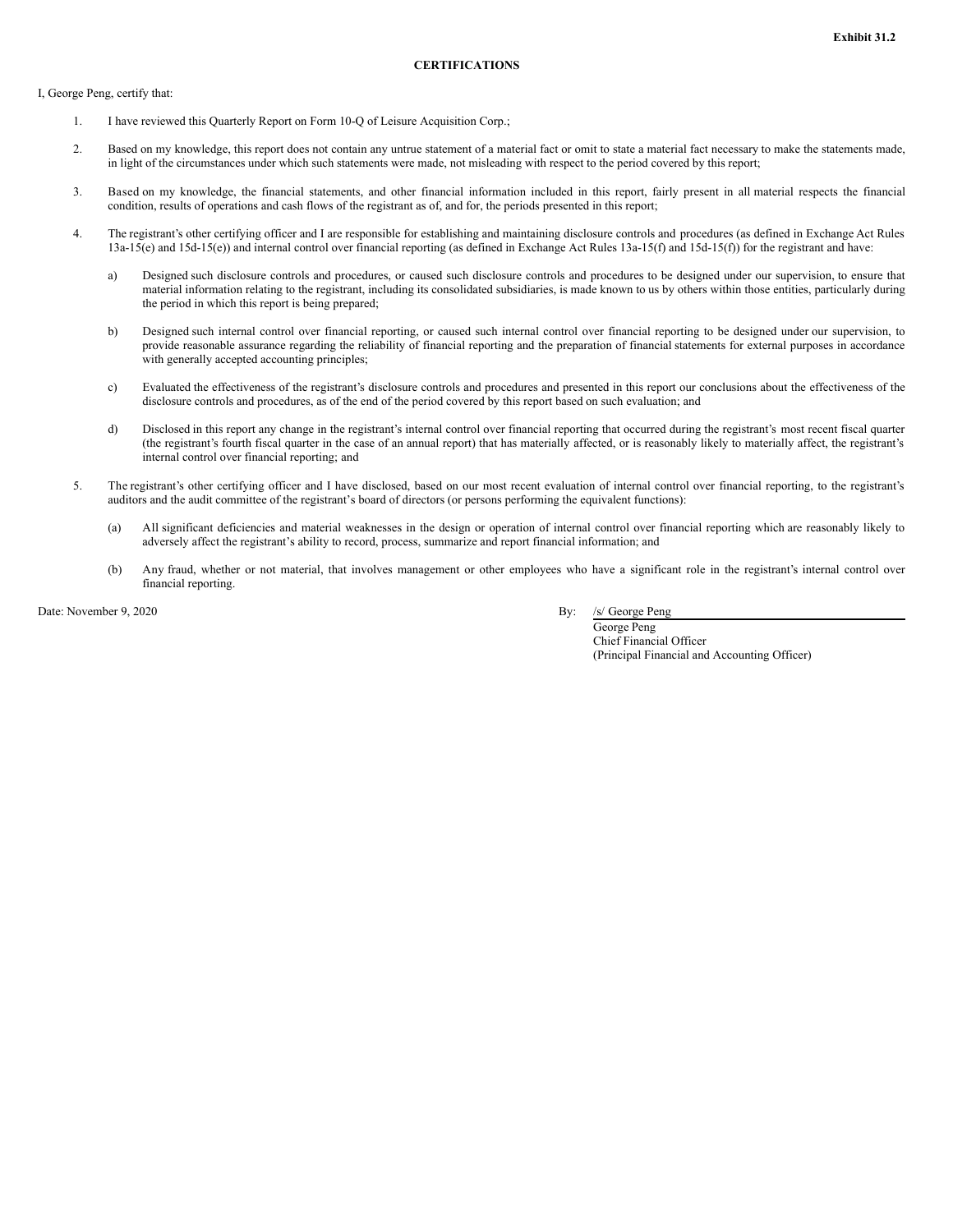<span id="page-27-0"></span>I, George Peng, certify that:

- 1. I have reviewed this Quarterly Report on Form 10-Q of Leisure Acquisition Corp.;
- 2. Based on my knowledge, this report does not contain any untrue statement of a material fact or omit to state a material fact necessary to make the statements made, in light of the circumstances under which such statements were made, not misleading with respect to the period covered by this report;
- 3. Based on my knowledge, the financial statements, and other financial information included in this report, fairly present in all material respects the financial condition, results of operations and cash flows of the registrant as of, and for, the periods presented in this report;
- 4. The registrant's other certifying officer and I are responsible for establishing and maintaining disclosure controls and procedures (as defined in Exchange Act Rules 13a-15(e) and 15d-15(e)) and internal control over financial reporting (as defined in Exchange Act Rules 13a-15(f) and 15d-15(f)) for the registrant and have:
	- a) Designed such disclosure controls and procedures, or caused such disclosure controls and procedures to be designed under our supervision, to ensure that material information relating to the registrant, including its consolidated subsidiaries, is made known to us by others within those entities, particularly during the period in which this report is being prepared;
	- b) Designed such internal control over financial reporting, or caused such internal control over financial reporting to be designed under our supervision, to provide reasonable assurance regarding the reliability of financial reporting and the preparation of financial statements for external purposes in accordance with generally accepted accounting principles;
	- c) Evaluated the effectiveness of the registrant's disclosure controls and procedures and presented in this report our conclusions about the effectiveness of the disclosure controls and procedures, as of the end of the period covered by this report based on such evaluation; and
	- d) Disclosed in this report any change in the registrant's internal control over financial reporting that occurred during the registrant's most recent fiscal quarter (the registrant's fourth fiscal quarter in the case of an annual report) that has materially affected, or is reasonably likely to materially affect, the registrant's internal control over financial reporting; and
- 5. The registrant's other certifying officer and I have disclosed, based on our most recent evaluation of internal control over financial reporting, to the registrant's auditors and the audit committee of the registrant's board of directors (or persons performing the equivalent functions):
	- (a) All significant deficiencies and material weaknesses in the design or operation of internal control over financial reporting which are reasonably likely to adversely affect the registrant's ability to record, process, summarize and report financial information; and
	- (b) Any fraud, whether or not material, that involves management or other employees who have a significant role in the registrant's internal control over financial reporting.

Date: November 9, 2020 By: /s/ George Peng

George Peng Chief Financial Officer (Principal Financial and Accounting Officer)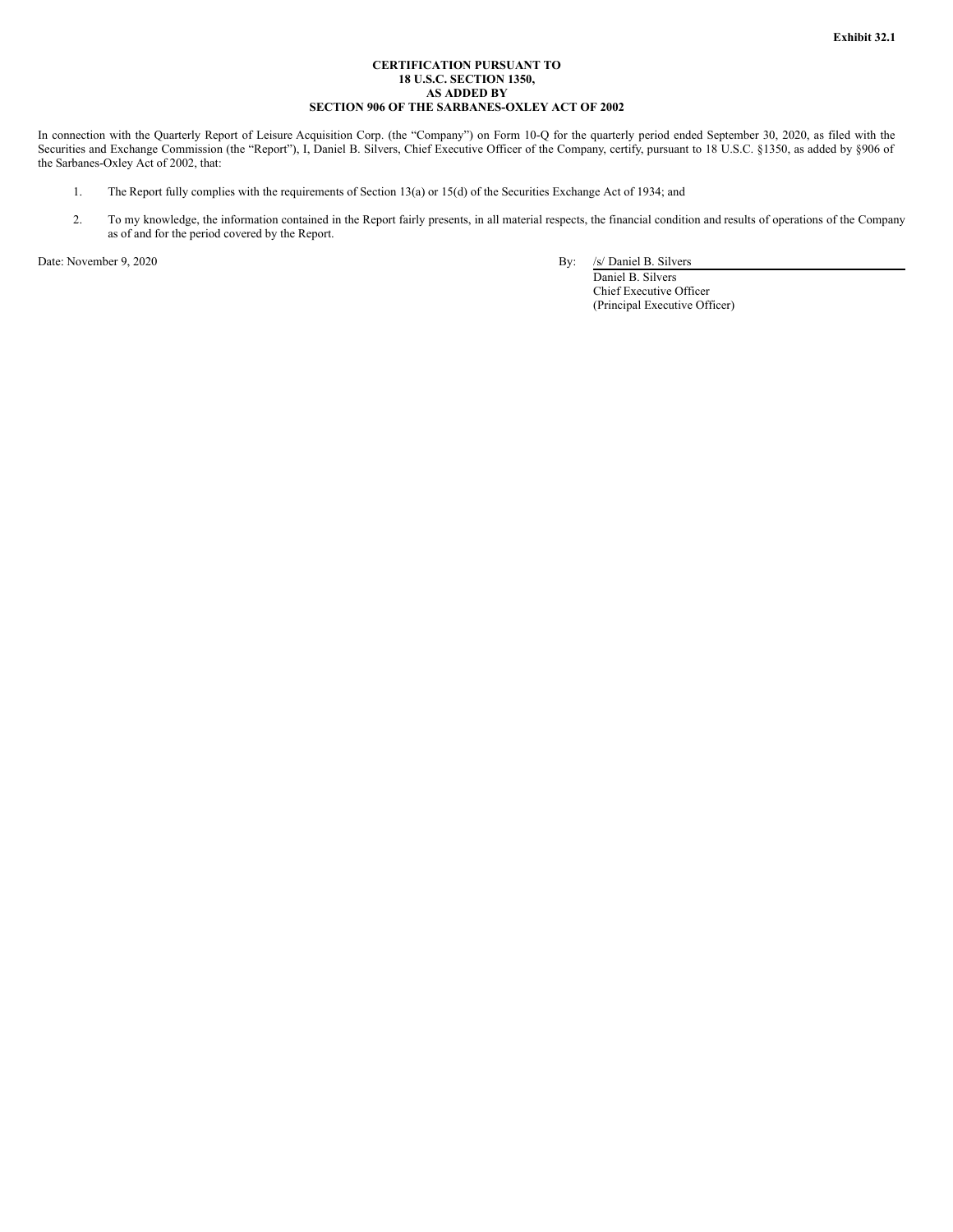### **CERTIFICATION PURSUANT TO 18 U.S.C. SECTION 1350, AS ADDED BY SECTION 906 OF THE SARBANES-OXLEY ACT OF 2002**

<span id="page-28-0"></span>In connection with the Quarterly Report of Leisure Acquisition Corp. (the "Company") on Form 10-Q for the quarterly period ended September 30, 2020, as filed with the Securities and Exchange Commission (the "Report"), I, Daniel B. Silvers, Chief Executive Officer of the Company, certify, pursuant to 18 U.S.C. §1350, as added by §906 of the Sarbanes-Oxley Act of 2002, that:

- 1. The Report fully complies with the requirements of Section 13(a) or 15(d) of the Securities Exchange Act of 1934; and
- 2. To my knowledge, the information contained in the Report fairly presents, in all material respects, the financial condition and results of operations of the Company as of and for the period covered by the Report.

Date: November 9, 2020 By: /s/ Daniel B. Silvers

Daniel B. Silvers Chief Executive Officer (Principal Executive Officer)